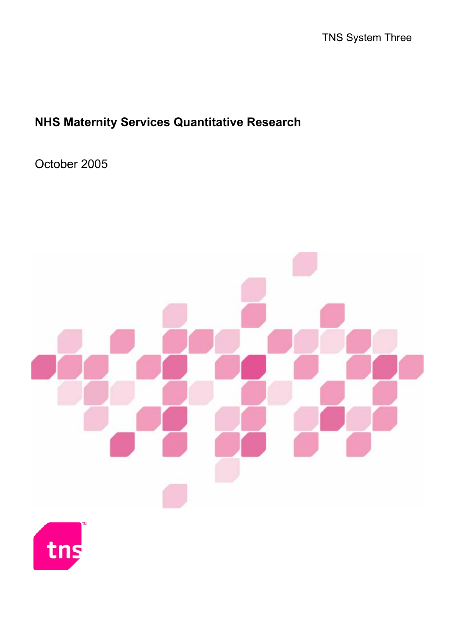# **NHS Maternity Services Quantitative Research**

October 2005



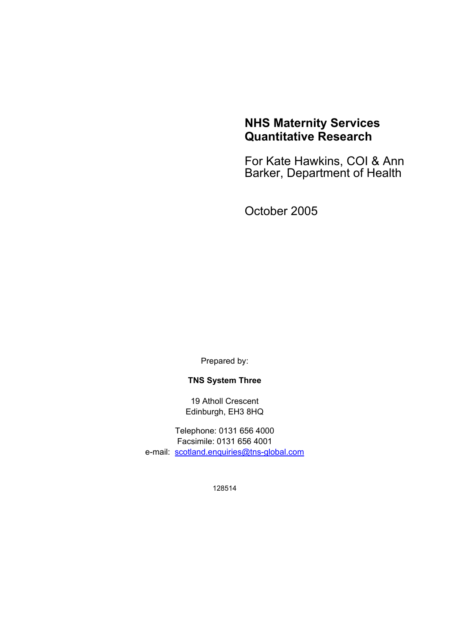### **NHS Maternity Services Quantitative Research**

For Kate Hawkins, COI & Ann Barker, Department of Health

October 2005

Prepared by:

### **TNS System Three**

19 Atholl Crescent Edinburgh, EH3 8HQ

Telephone: 0131 656 4000 Facsimile: 0131 656 4001 e-mail: scotland.enquiries@tns-global.com

128514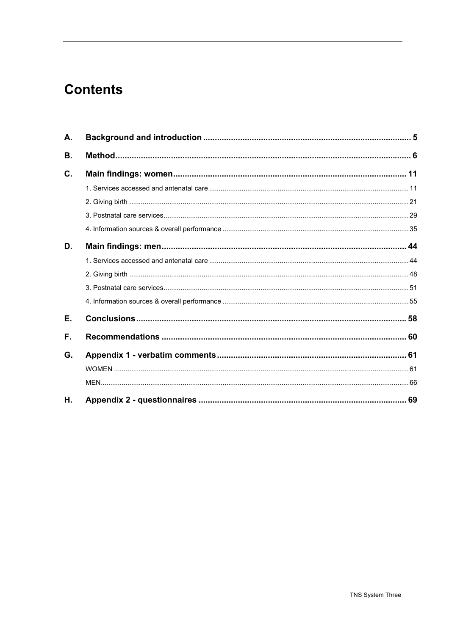# **Contents**

| А. |  |
|----|--|
| В. |  |
| C. |  |
|    |  |
|    |  |
|    |  |
|    |  |
| D. |  |
|    |  |
|    |  |
|    |  |
|    |  |
| Е. |  |
| F. |  |
| G. |  |
|    |  |
|    |  |
| Η. |  |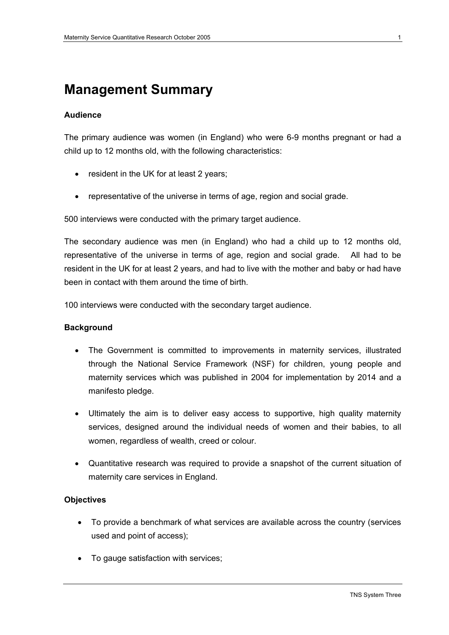## **Management Summary**

### **Audience**

The primary audience was women (in England) who were 6-9 months pregnant or had a child up to 12 months old, with the following characteristics:

- resident in the UK for at least 2 years;
- representative of the universe in terms of age, region and social grade.

500 interviews were conducted with the primary target audience.

The secondary audience was men (in England) who had a child up to 12 months old, representative of the universe in terms of age, region and social grade. All had to be resident in the UK for at least 2 years, and had to live with the mother and baby or had have been in contact with them around the time of birth.

100 interviews were conducted with the secondary target audience.

### **Background**

- The Government is committed to improvements in maternity services, illustrated through the National Service Framework (NSF) for children, young people and maternity services which was published in 2004 for implementation by 2014 and a manifesto pledge.
- Ultimately the aim is to deliver easy access to supportive, high quality maternity services, designed around the individual needs of women and their babies, to all women, regardless of wealth, creed or colour.
- Quantitative research was required to provide a snapshot of the current situation of maternity care services in England.

### **Objectives**

- To provide a benchmark of what services are available across the country (services used and point of access);
- To gauge satisfaction with services;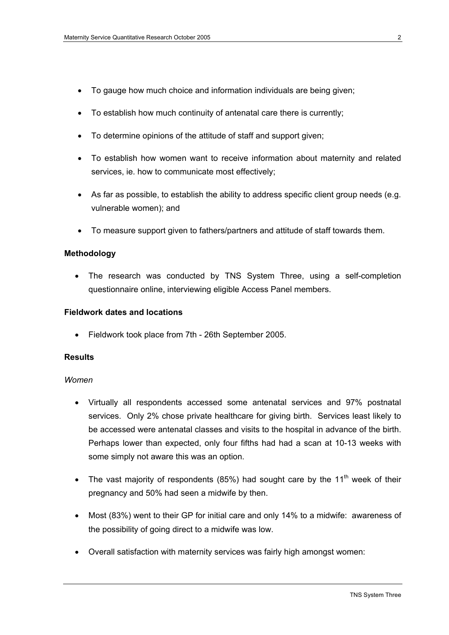- To gauge how much choice and information individuals are being given;
- To establish how much continuity of antenatal care there is currently;
- To determine opinions of the attitude of staff and support given;
- To establish how women want to receive information about maternity and related services, ie. how to communicate most effectively;
- As far as possible, to establish the ability to address specific client group needs (e.g. vulnerable women); and
- To measure support given to fathers/partners and attitude of staff towards them.

### **Methodology**

• The research was conducted by TNS System Three, using a self-completion questionnaire online, interviewing eligible Access Panel members.

### **Fieldwork dates and locations**

• Fieldwork took place from 7th - 26th September 2005.

### **Results**

### *Women*

- Virtually all respondents accessed some antenatal services and 97% postnatal services. Only 2% chose private healthcare for giving birth. Services least likely to be accessed were antenatal classes and visits to the hospital in advance of the birth. Perhaps lower than expected, only four fifths had had a scan at 10-13 weeks with some simply not aware this was an option.
- The vast majority of respondents (85%) had sought care by the 11<sup>th</sup> week of their pregnancy and 50% had seen a midwife by then.
- Most (83%) went to their GP for initial care and only 14% to a midwife: awareness of the possibility of going direct to a midwife was low.
- Overall satisfaction with maternity services was fairly high amongst women: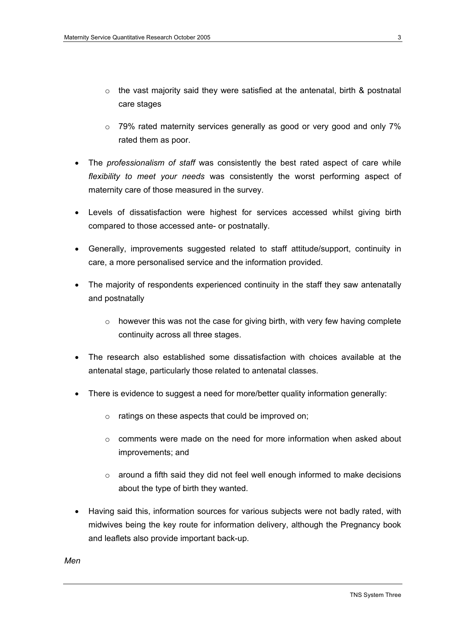- $\circ$  the vast majority said they were satisfied at the antenatal, birth & postnatal care stages
- $\circ$  79% rated maternity services generally as good or very good and only 7% rated them as poor.
- The *professionalism of staff* was consistently the best rated aspect of care while *flexibility to meet your needs* was consistently the worst performing aspect of maternity care of those measured in the survey.
- Levels of dissatisfaction were highest for services accessed whilst giving birth compared to those accessed ante- or postnatally.
- Generally, improvements suggested related to staff attitude/support, continuity in care, a more personalised service and the information provided.
- The majority of respondents experienced continuity in the staff they saw antenatally and postnatally
	- $\circ$  however this was not the case for giving birth, with very few having complete continuity across all three stages.
- The research also established some dissatisfaction with choices available at the antenatal stage, particularly those related to antenatal classes.
- There is evidence to suggest a need for more/better quality information generally:
	- o ratings on these aspects that could be improved on;
	- o comments were made on the need for more information when asked about improvements; and
	- $\circ$  around a fifth said they did not feel well enough informed to make decisions about the type of birth they wanted.
- Having said this, information sources for various subjects were not badly rated, with midwives being the key route for information delivery, although the Pregnancy book and leaflets also provide important back-up.

*Men*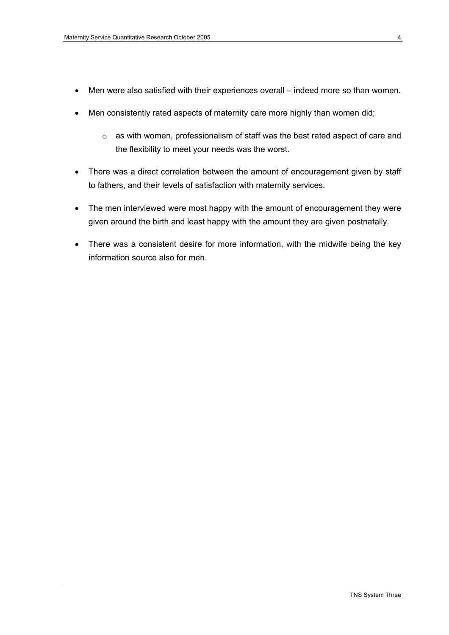- Men were also satisfied with their experiences overall indeed more so than women.
- Men consistently rated aspects of maternity care more highly than women did;
	- o as with women, professionalism of staff was the best rated aspect of care and the flexibility to meet your needs was the worst.
- There was a direct correlation between the amount of encouragement given by staff to fathers, and their levels of satisfaction with maternity services.
- The men interviewed were most happy with the amount of encouragement they were given around the birth and least happy with the amount they are given postnatally.
- There was a consistent desire for more information, with the midwife being the key information source also for men.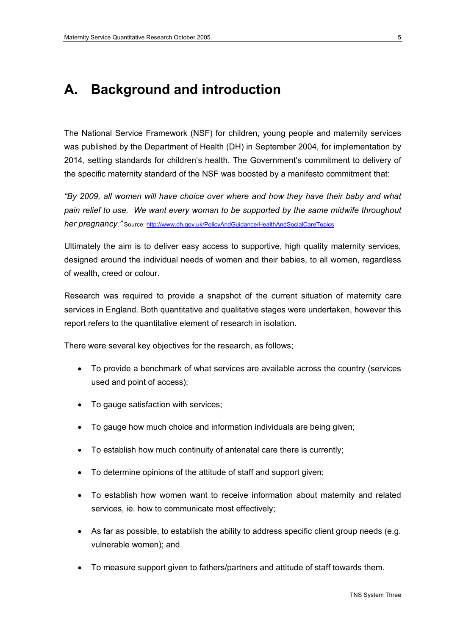## **A. Background and introduction**

The National Service Framework (NSF) for children, young people and maternity services was published by the Department of Health (DH) in September 2004, for implementation by 2014, setting standards for children's health. The Government's commitment to delivery of the specific maternity standard of the NSF was boosted by a manifesto commitment that:

*"By 2009, all women will have choice over where and how they have their baby and what pain relief to use. We want every woman to be supported by the same midwife throughout her pregnancy."* Source: http://www.dh.gov.uk/PolicyAndGuidance/HealthAndSocialCareTopics

Ultimately the aim is to deliver easy access to supportive, high quality maternity services, designed around the individual needs of women and their babies, to all women, regardless of wealth, creed or colour.

Research was required to provide a snapshot of the current situation of maternity care services in England. Both quantitative and qualitative stages were undertaken, however this report refers to the quantitative element of research in isolation.

There were several key objectives for the research, as follows;

- To provide a benchmark of what services are available across the country (services used and point of access);
- To gauge satisfaction with services;
- To gauge how much choice and information individuals are being given;
- To establish how much continuity of antenatal care there is currently;
- To determine opinions of the attitude of staff and support given;
- To establish how women want to receive information about maternity and related services, ie. how to communicate most effectively;
- As far as possible, to establish the ability to address specific client group needs (e.g. vulnerable women); and
- To measure support given to fathers/partners and attitude of staff towards them.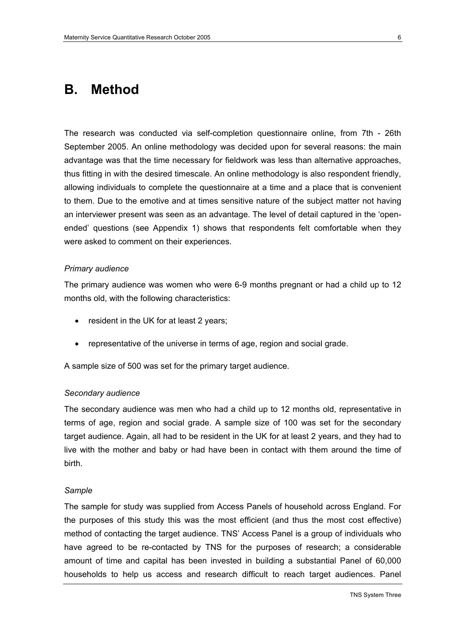### **B. Method**

The research was conducted via self-completion questionnaire online, from 7th - 26th September 2005. An online methodology was decided upon for several reasons: the main advantage was that the time necessary for fieldwork was less than alternative approaches, thus fitting in with the desired timescale. An online methodology is also respondent friendly, allowing individuals to complete the questionnaire at a time and a place that is convenient to them. Due to the emotive and at times sensitive nature of the subject matter not having an interviewer present was seen as an advantage. The level of detail captured in the 'openended' questions (see Appendix 1) shows that respondents felt comfortable when they were asked to comment on their experiences.

#### *Primary audience*

The primary audience was women who were 6-9 months pregnant or had a child up to 12 months old, with the following characteristics:

- resident in the UK for at least 2 years;
- representative of the universe in terms of age, region and social grade.

A sample size of 500 was set for the primary target audience.

#### *Secondary audience*

The secondary audience was men who had a child up to 12 months old, representative in terms of age, region and social grade. A sample size of 100 was set for the secondary target audience. Again, all had to be resident in the UK for at least 2 years, and they had to live with the mother and baby or had have been in contact with them around the time of birth.

#### *Sample*

The sample for study was supplied from Access Panels of household across England. For the purposes of this study this was the most efficient (and thus the most cost effective) method of contacting the target audience. TNS' Access Panel is a group of individuals who have agreed to be re-contacted by TNS for the purposes of research; a considerable amount of time and capital has been invested in building a substantial Panel of 60,000 households to help us access and research difficult to reach target audiences. Panel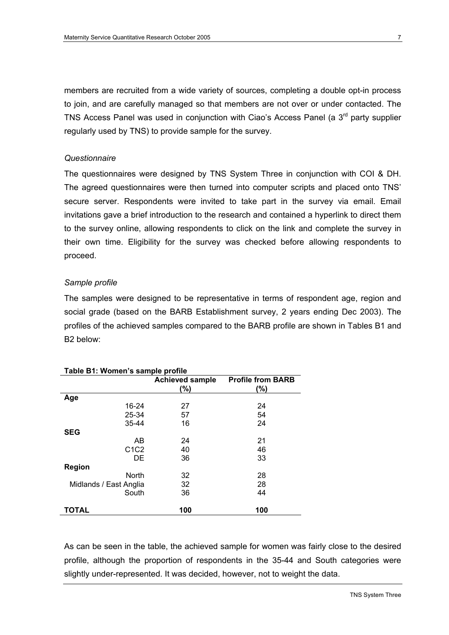members are recruited from a wide variety of sources, completing a double opt-in process to join, and are carefully managed so that members are not over or under contacted. The TNS Access Panel was used in conjunction with Ciao's Access Panel (a  $3<sup>rd</sup>$  party supplier regularly used by TNS) to provide sample for the survey.

### *Questionnaire*

The questionnaires were designed by TNS System Three in conjunction with COI & DH. The agreed questionnaires were then turned into computer scripts and placed onto TNS' secure server. Respondents were invited to take part in the survey via email. Email invitations gave a brief introduction to the research and contained a hyperlink to direct them to the survey online, allowing respondents to click on the link and complete the survey in their own time. Eligibility for the survey was checked before allowing respondents to proceed.

### *Sample profile*

The samples were designed to be representative in terms of respondent age, region and social grade (based on the BARB Establishment survey, 2 years ending Dec 2003). The profiles of the achieved samples compared to the BARB profile are shown in Tables B1 and B2 below:

| Table B1: Women's sample profile |                        |                          |  |  |  |
|----------------------------------|------------------------|--------------------------|--|--|--|
|                                  | <b>Achieved sample</b> | <b>Profile from BARB</b> |  |  |  |
|                                  | (%)                    | (%)                      |  |  |  |
| Age                              |                        |                          |  |  |  |
| 16-24                            | 27                     | 24                       |  |  |  |
| 25-34                            | 57                     | 54                       |  |  |  |
| 35-44                            | 16                     | 24                       |  |  |  |
| <b>SEG</b>                       |                        |                          |  |  |  |
| AB                               | 24                     | 21                       |  |  |  |
| C <sub>1</sub> C <sub>2</sub>    | 40                     | 46                       |  |  |  |
| DE.                              | 36                     | 33                       |  |  |  |
| <b>Region</b>                    |                        |                          |  |  |  |
| <b>North</b>                     | 32                     | 28                       |  |  |  |
| Midlands / East Anglia           | 32                     | 28                       |  |  |  |
| South                            | 36                     | 44                       |  |  |  |
| <b>TOTAL</b>                     | 100                    | 100                      |  |  |  |

### **Table B1: Women's sample profile**

As can be seen in the table, the achieved sample for women was fairly close to the desired profile, although the proportion of respondents in the 35-44 and South categories were slightly under-represented. It was decided, however, not to weight the data.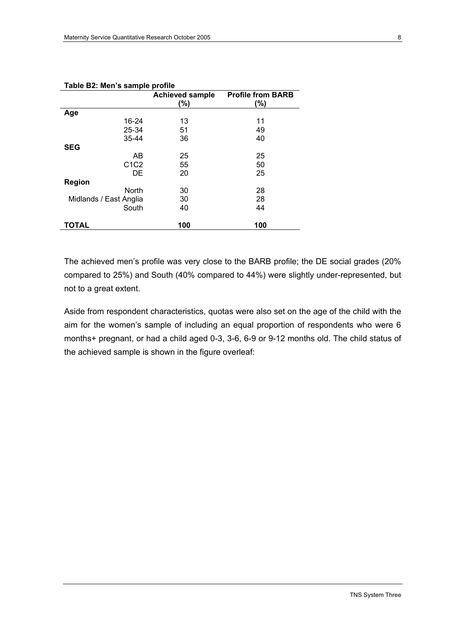| rapie DZ. Men 3 Sanipie pronie |                               |                                 |  |  |
|--------------------------------|-------------------------------|---------------------------------|--|--|
|                                | <b>Achieved sample</b><br>(%) | <b>Profile from BARB</b><br>(%) |  |  |
| Age                            |                               |                                 |  |  |
| 16-24                          | 13                            | 11                              |  |  |
| 25-34                          | 51                            | 49                              |  |  |
| 35-44                          | 36                            | 40                              |  |  |
| <b>SEG</b>                     |                               |                                 |  |  |
| AB                             | 25                            | 25                              |  |  |
| C <sub>1</sub> C <sub>2</sub>  | 55                            | 50                              |  |  |
| DE                             | 20                            | 25                              |  |  |
| Region                         |                               |                                 |  |  |
| North                          | 30                            | 28                              |  |  |
| Midlands / East Anglia         | 30                            | 28                              |  |  |
| South                          | 40                            | 44                              |  |  |
| <b>TOTAL</b>                   | 100                           | 100                             |  |  |

**Table B2: Men's sample profile** 

The achieved men's profile was very close to the BARB profile; the DE social grades (20% compared to 25%) and South (40% compared to 44%) were slightly under-represented, but not to a great extent.

Aside from respondent characteristics, quotas were also set on the age of the child with the aim for the women's sample of including an equal proportion of respondents who were 6 months+ pregnant, or had a child aged 0-3, 3-6, 6-9 or 9-12 months old. The child status of the achieved sample is shown in the figure overleaf: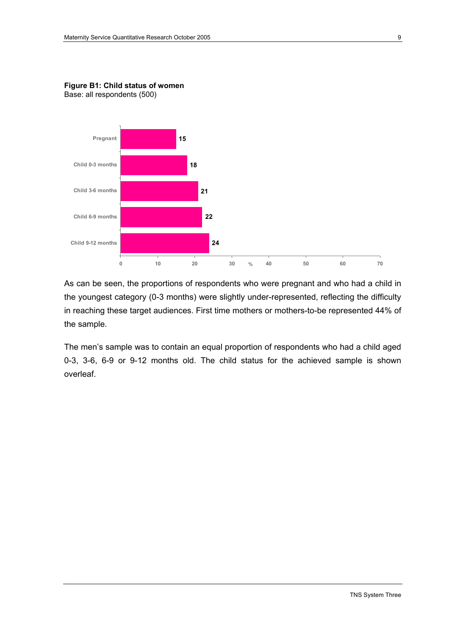

**Figure B1: Child status of women**  Base: all respondents (500)

As can be seen, the proportions of respondents who were pregnant and who had a child in the youngest category (0-3 months) were slightly under-represented, reflecting the difficulty in reaching these target audiences. First time mothers or mothers-to-be represented 44% of the sample.

The men's sample was to contain an equal proportion of respondents who had a child aged 0-3, 3-6, 6-9 or 9-12 months old. The child status for the achieved sample is shown overleaf.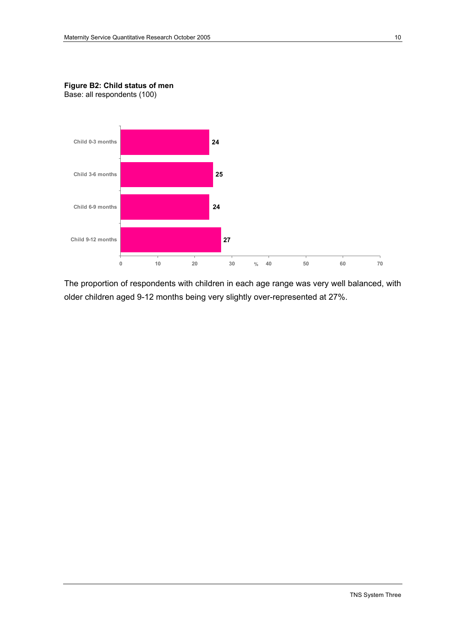

**Figure B2: Child status of men**  Base: all respondents (100)

The proportion of respondents with children in each age range was very well balanced, with older children aged 9-12 months being very slightly over-represented at 27%.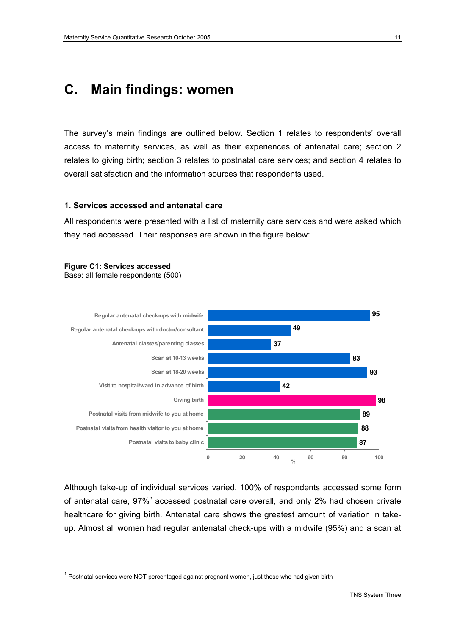## **C. Main findings: women**

The survey's main findings are outlined below. Section 1 relates to respondents' overall access to maternity services, as well as their experiences of antenatal care; section 2 relates to giving birth; section 3 relates to postnatal care services; and section 4 relates to overall satisfaction and the information sources that respondents used.

### **1. Services accessed and antenatal care**

All respondents were presented with a list of maternity care services and were asked which they had accessed. Their responses are shown in the figure below:

### **Figure C1: Services accessed**

 $\overline{a}$ 

Base: all female respondents (500)



Although take-up of individual services varied, 100% of respondents accessed some form of antenatal care, 97%<sup>1</sup> accessed postnatal care overall, and only 2% had chosen private healthcare for giving birth. Antenatal care shows the greatest amount of variation in takeup. Almost all women had regular antenatal check-ups with a midwife (95%) and a scan at

 $1$  Postnatal services were NOT percentaged against pregnant women, just those who had given birth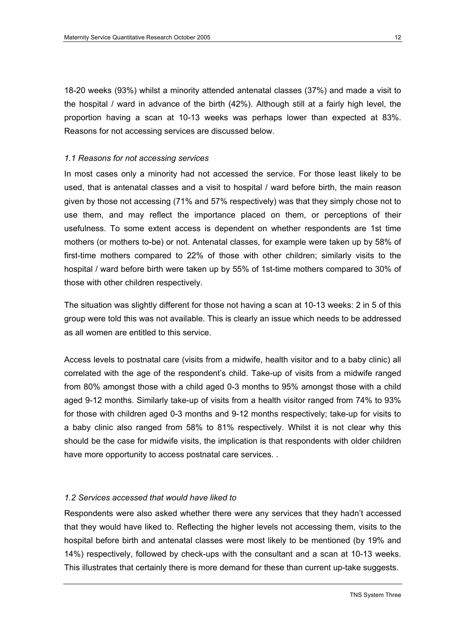18-20 weeks (93%) whilst a minority attended antenatal classes (37%) and made a visit to the hospital / ward in advance of the birth (42%). Although still at a fairly high level, the proportion having a scan at 10-13 weeks was perhaps lower than expected at 83%. Reasons for not accessing services are discussed below.

### *1.1 Reasons for not accessing services*

In most cases only a minority had not accessed the service. For those least likely to be used, that is antenatal classes and a visit to hospital / ward before birth, the main reason given by those not accessing (71% and 57% respectively) was that they simply chose not to use them, and may reflect the importance placed on them, or perceptions of their usefulness. To some extent access is dependent on whether respondents are 1st time mothers (or mothers to-be) or not. Antenatal classes, for example were taken up by 58% of first-time mothers compared to 22% of those with other children; similarly visits to the hospital / ward before birth were taken up by 55% of 1st-time mothers compared to 30% of those with other children respectively.

The situation was slightly different for those not having a scan at 10-13 weeks: 2 in 5 of this group were told this was not available. This is clearly an issue which needs to be addressed as all women are entitled to this service.

Access levels to postnatal care (visits from a midwife, health visitor and to a baby clinic) all correlated with the age of the respondent's child. Take-up of visits from a midwife ranged from 80% amongst those with a child aged 0-3 months to 95% amongst those with a child aged 9-12 months. Similarly take-up of visits from a health visitor ranged from 74% to 93% for those with children aged 0-3 months and 9-12 months respectively; take-up for visits to a baby clinic also ranged from 58% to 81% respectively. Whilst it is not clear why this should be the case for midwife visits, the implication is that respondents with older children have more opportunity to access postnatal care services. .

#### *1.2 Services accessed that would have liked to*

Respondents were also asked whether there were any services that they hadn't accessed that they would have liked to. Reflecting the higher levels not accessing them, visits to the hospital before birth and antenatal classes were most likely to be mentioned (by 19% and 14%) respectively, followed by check-ups with the consultant and a scan at 10-13 weeks. This illustrates that certainly there is more demand for these than current up-take suggests.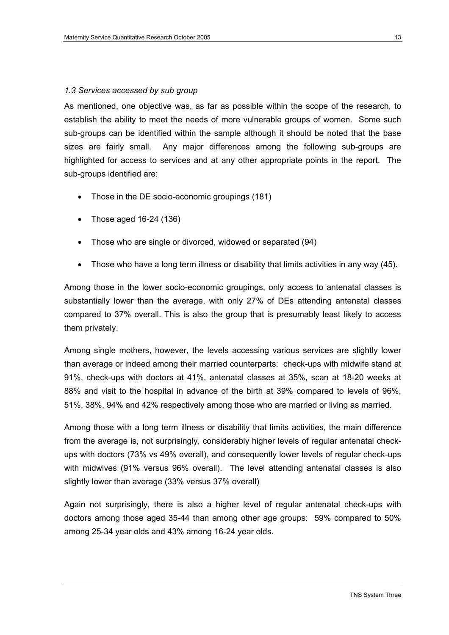### *1.3 Services accessed by sub group*

As mentioned, one objective was, as far as possible within the scope of the research, to establish the ability to meet the needs of more vulnerable groups of women. Some such sub-groups can be identified within the sample although it should be noted that the base sizes are fairly small. Any major differences among the following sub-groups are highlighted for access to services and at any other appropriate points in the report. The sub-groups identified are:

- Those in the DE socio-economic groupings (181)
- Those aged 16-24 (136)
- Those who are single or divorced, widowed or separated (94)
- Those who have a long term illness or disability that limits activities in any way (45).

Among those in the lower socio-economic groupings, only access to antenatal classes is substantially lower than the average, with only 27% of DEs attending antenatal classes compared to 37% overall. This is also the group that is presumably least likely to access them privately.

Among single mothers, however, the levels accessing various services are slightly lower than average or indeed among their married counterparts: check-ups with midwife stand at 91%, check-ups with doctors at 41%, antenatal classes at 35%, scan at 18-20 weeks at 88% and visit to the hospital in advance of the birth at 39% compared to levels of 96%, 51%, 38%, 94% and 42% respectively among those who are married or living as married.

Among those with a long term illness or disability that limits activities, the main difference from the average is, not surprisingly, considerably higher levels of regular antenatal checkups with doctors (73% vs 49% overall), and consequently lower levels of regular check-ups with midwives (91% versus 96% overall). The level attending antenatal classes is also slightly lower than average (33% versus 37% overall)

Again not surprisingly, there is also a higher level of regular antenatal check-ups with doctors among those aged 35-44 than among other age groups: 59% compared to 50% among 25-34 year olds and 43% among 16-24 year olds.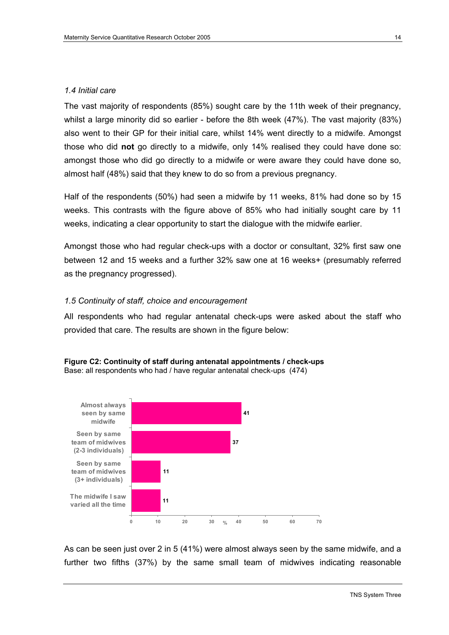### *1.4 Initial care*

The vast majority of respondents (85%) sought care by the 11th week of their pregnancy, whilst a large minority did so earlier - before the 8th week (47%). The vast majority (83%) also went to their GP for their initial care, whilst 14% went directly to a midwife. Amongst those who did **not** go directly to a midwife, only 14% realised they could have done so: amongst those who did go directly to a midwife or were aware they could have done so, almost half (48%) said that they knew to do so from a previous pregnancy.

Half of the respondents (50%) had seen a midwife by 11 weeks, 81% had done so by 15 weeks. This contrasts with the figure above of 85% who had initially sought care by 11 weeks, indicating a clear opportunity to start the dialogue with the midwife earlier.

Amongst those who had regular check-ups with a doctor or consultant, 32% first saw one between 12 and 15 weeks and a further 32% saw one at 16 weeks+ (presumably referred as the pregnancy progressed).

### *1.5 Continuity of staff, choice and encouragement*

All respondents who had regular antenatal check-ups were asked about the staff who provided that care. The results are shown in the figure below:





As can be seen just over 2 in 5 (41%) were almost always seen by the same midwife, and a further two fifths (37%) by the same small team of midwives indicating reasonable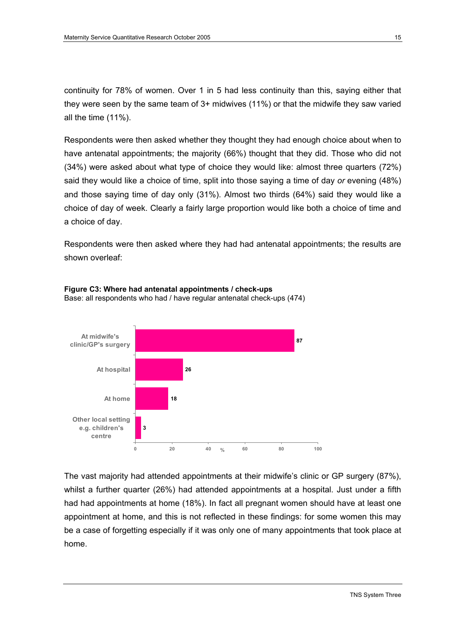continuity for 78% of women. Over 1 in 5 had less continuity than this, saying either that they were seen by the same team of 3+ midwives (11%) or that the midwife they saw varied all the time (11%).

Respondents were then asked whether they thought they had enough choice about when to have antenatal appointments; the majority (66%) thought that they did. Those who did not (34%) were asked about what type of choice they would like: almost three quarters (72%) said they would like a choice of time, split into those saying a time of day *or* evening (48%) and those saying time of day only (31%). Almost two thirds (64%) said they would like a choice of day of week. Clearly a fairly large proportion would like both a choice of time and a choice of day.

Respondents were then asked where they had had antenatal appointments; the results are shown overleaf:



**Figure C3: Where had antenatal appointments / check-ups**  Base: all respondents who had / have regular antenatal check-ups (474)

The vast majority had attended appointments at their midwife's clinic or GP surgery (87%), whilst a further quarter (26%) had attended appointments at a hospital. Just under a fifth had had appointments at home (18%). In fact all pregnant women should have at least one appointment at home, and this is not reflected in these findings: for some women this may be a case of forgetting especially if it was only one of many appointments that took place at home.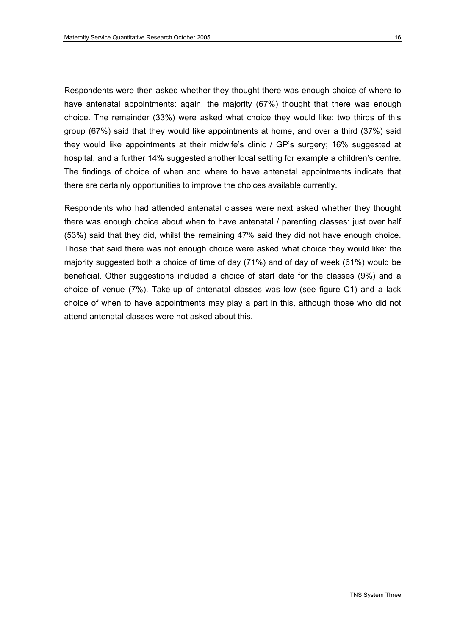Respondents were then asked whether they thought there was enough choice of where to have antenatal appointments: again, the majority (67%) thought that there was enough choice. The remainder (33%) were asked what choice they would like: two thirds of this group (67%) said that they would like appointments at home, and over a third (37%) said they would like appointments at their midwife's clinic / GP's surgery; 16% suggested at hospital, and a further 14% suggested another local setting for example a children's centre. The findings of choice of when and where to have antenatal appointments indicate that there are certainly opportunities to improve the choices available currently.

Respondents who had attended antenatal classes were next asked whether they thought there was enough choice about when to have antenatal / parenting classes: just over half (53%) said that they did, whilst the remaining 47% said they did not have enough choice. Those that said there was not enough choice were asked what choice they would like: the majority suggested both a choice of time of day (71%) and of day of week (61%) would be beneficial. Other suggestions included a choice of start date for the classes (9%) and a choice of venue (7%). Take-up of antenatal classes was low (see figure C1) and a lack choice of when to have appointments may play a part in this, although those who did not attend antenatal classes were not asked about this.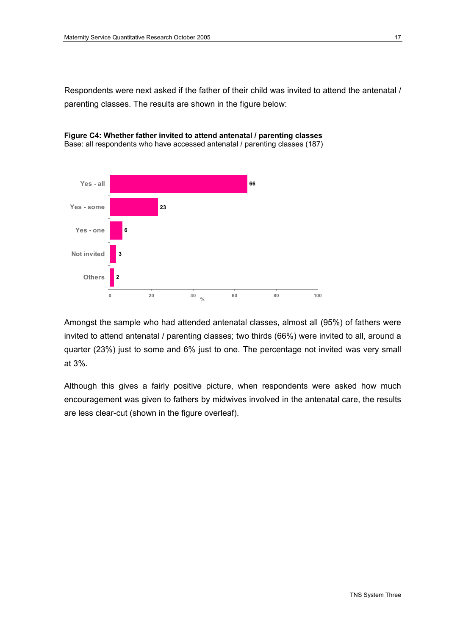Respondents were next asked if the father of their child was invited to attend the antenatal / parenting classes. The results are shown in the figure below:





Amongst the sample who had attended antenatal classes, almost all (95%) of fathers were invited to attend antenatal / parenting classes; two thirds (66%) were invited to all, around a quarter (23%) just to some and 6% just to one. The percentage not invited was very small at 3%.

Although this gives a fairly positive picture, when respondents were asked how much encouragement was given to fathers by midwives involved in the antenatal care, the results are less clear-cut (shown in the figure overleaf).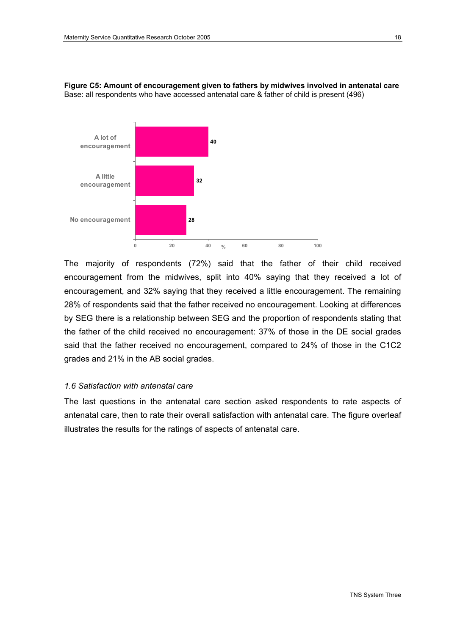

**Figure C5: Amount of encouragement given to fathers by midwives involved in antenatal care**  Base: all respondents who have accessed antenatal care & father of child is present (496)

The majority of respondents (72%) said that the father of their child received encouragement from the midwives, split into 40% saying that they received a lot of encouragement, and 32% saying that they received a little encouragement. The remaining 28% of respondents said that the father received no encouragement. Looking at differences by SEG there is a relationship between SEG and the proportion of respondents stating that the father of the child received no encouragement: 37% of those in the DE social grades said that the father received no encouragement, compared to 24% of those in the C1C2 grades and 21% in the AB social grades.

### *1.6 Satisfaction with antenatal care*

The last questions in the antenatal care section asked respondents to rate aspects of antenatal care, then to rate their overall satisfaction with antenatal care. The figure overleaf illustrates the results for the ratings of aspects of antenatal care.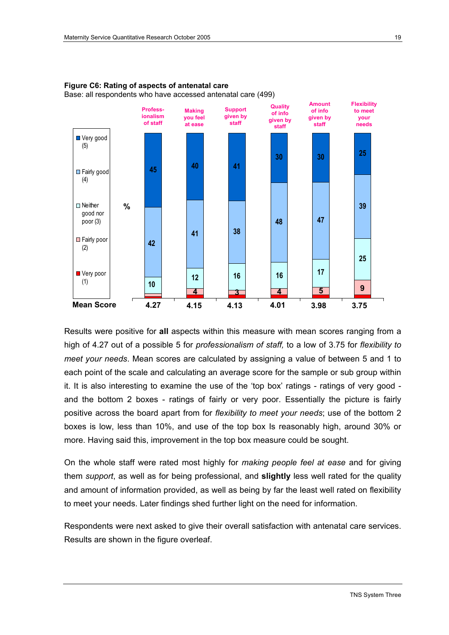



Results were positive for **all** aspects within this measure with mean scores ranging from a high of 4.27 out of a possible 5 for *professionalism of staff,* to a low of 3.75 for *flexibility to meet your needs*. Mean scores are calculated by assigning a value of between 5 and 1 to each point of the scale and calculating an average score for the sample or sub group within it. It is also interesting to examine the use of the 'top box' ratings - ratings of very good and the bottom 2 boxes - ratings of fairly or very poor. Essentially the picture is fairly positive across the board apart from for *flexibility to meet your needs*; use of the bottom 2 boxes is low, less than 10%, and use of the top box Is reasonably high, around 30% or more. Having said this, improvement in the top box measure could be sought.

On the whole staff were rated most highly for *making people feel at ease* and for giving them *support*, as well as for being professional, and **slightly** less well rated for the quality and amount of information provided, as well as being by far the least well rated on flexibility to meet your needs. Later findings shed further light on the need for information.

Respondents were next asked to give their overall satisfaction with antenatal care services. Results are shown in the figure overleaf.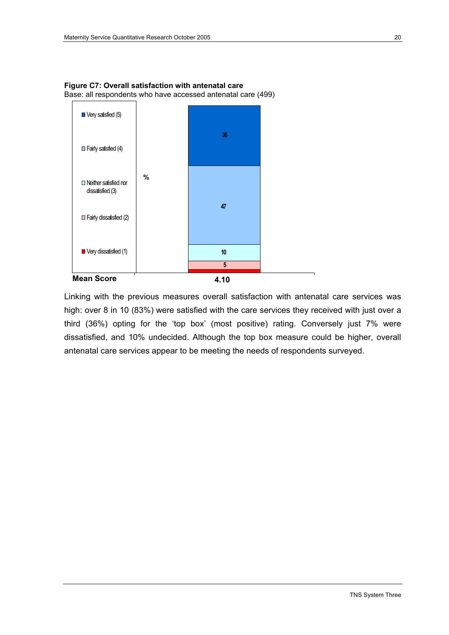

**Figure C7: Overall satisfaction with antenatal care**  Base: all respondents who have accessed antenatal care (499)

Linking with the previous measures overall satisfaction with antenatal care services was high: over 8 in 10 (83%) were satisfied with the care services they received with just over a third (36%) opting for the 'top box' (most positive) rating. Conversely just 7% were dissatisfied, and 10% undecided. Although the top box measure could be higher, overall antenatal care services appear to be meeting the needs of respondents surveyed.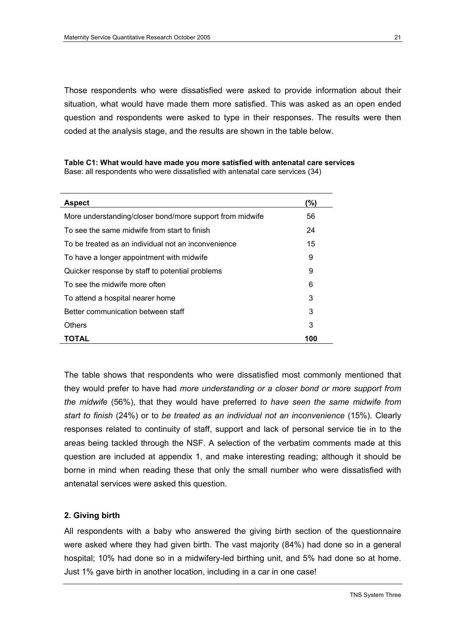Those respondents who were dissatisfied were asked to provide information about their situation, what would have made them more satisfied. This was asked as an open ended question and respondents were asked to type in their responses. The results were then coded at the analysis stage, and the results are shown in the table below.

| <b>Aspect</b>                                            | (%) |
|----------------------------------------------------------|-----|
| More understanding/closer bond/more support from midwife | 56  |
| To see the same midwife from start to finish             | 24  |
| To be treated as an individual not an inconvenience      | 15  |
| To have a longer appointment with midwife                | 9   |
| Quicker response by staff to potential problems          | 9   |
| To see the midwife more often                            | 6   |
| To attend a hospital nearer home                         | 3   |
| Better communication between staff                       | 3   |
| Others                                                   | 3   |
| TOTAL                                                    | 100 |

**Table C1: What would have made you more satisfied with antenatal care services**  Base: all respondents who were dissatisfied with antenatal care services (34)

The table shows that respondents who were dissatisfied most commonly mentioned that they would prefer to have had *more understanding or a closer bond or more support from the midwife* (56%), that they would have preferred *to have seen the same midwife from start to finish* (24%) or to *be treated as an individual not an inconvenience* (15%). Clearly responses related to continuity of staff, support and lack of personal service tie in to the areas being tackled through the NSF. A selection of the verbatim comments made at this question are included at appendix 1, and make interesting reading; although it should be borne in mind when reading these that only the small number who were dissatisfied with antenatal services were asked this question.

### **2. Giving birth**

All respondents with a baby who answered the giving birth section of the questionnaire were asked where they had given birth. The vast majority (84%) had done so in a general hospital; 10% had done so in a midwifery-led birthing unit, and 5% had done so at home. Just 1% gave birth in another location, including in a car in one case!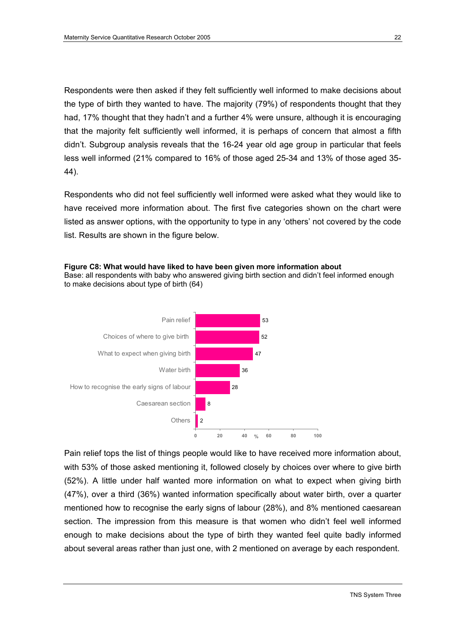Respondents were then asked if they felt sufficiently well informed to make decisions about the type of birth they wanted to have. The majority (79%) of respondents thought that they had, 17% thought that they hadn't and a further 4% were unsure, although it is encouraging that the majority felt sufficiently well informed, it is perhaps of concern that almost a fifth didn't. Subgroup analysis reveals that the 16-24 year old age group in particular that feels less well informed (21% compared to 16% of those aged 25-34 and 13% of those aged 35- 44).

Respondents who did not feel sufficiently well informed were asked what they would like to have received more information about. The first five categories shown on the chart were listed as answer options, with the opportunity to type in any 'others' not covered by the code list. Results are shown in the figure below.

**Figure C8: What would have liked to have been given more information about**  Base: all respondents with baby who answered giving birth section and didn't feel informed enough to make decisions about type of birth (64)



Pain relief tops the list of things people would like to have received more information about, with 53% of those asked mentioning it, followed closely by choices over where to give birth (52%). A little under half wanted more information on what to expect when giving birth (47%), over a third (36%) wanted information specifically about water birth, over a quarter mentioned how to recognise the early signs of labour (28%), and 8% mentioned caesarean section. The impression from this measure is that women who didn't feel well informed enough to make decisions about the type of birth they wanted feel quite badly informed about several areas rather than just one, with 2 mentioned on average by each respondent.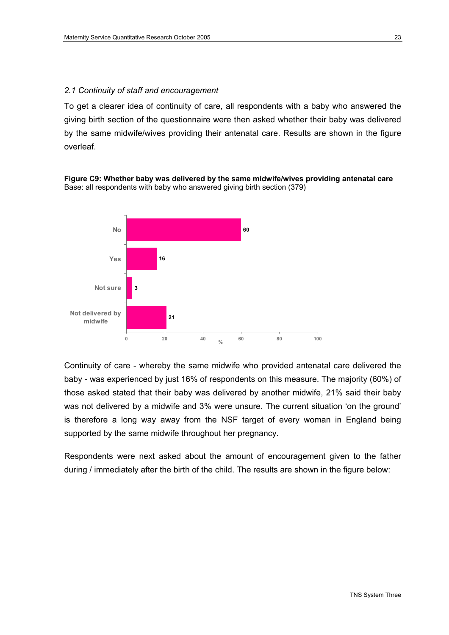### *2.1 Continuity of staff and encouragement*

To get a clearer idea of continuity of care, all respondents with a baby who answered the giving birth section of the questionnaire were then asked whether their baby was delivered by the same midwife/wives providing their antenatal care. Results are shown in the figure overleaf.

**Figure C9: Whether baby was delivered by the same midwife/wives providing antenatal care**  Base: all respondents with baby who answered giving birth section (379)



Continuity of care - whereby the same midwife who provided antenatal care delivered the baby - was experienced by just 16% of respondents on this measure. The majority (60%) of those asked stated that their baby was delivered by another midwife, 21% said their baby was not delivered by a midwife and 3% were unsure. The current situation 'on the ground' is therefore a long way away from the NSF target of every woman in England being supported by the same midwife throughout her pregnancy.

Respondents were next asked about the amount of encouragement given to the father during / immediately after the birth of the child. The results are shown in the figure below: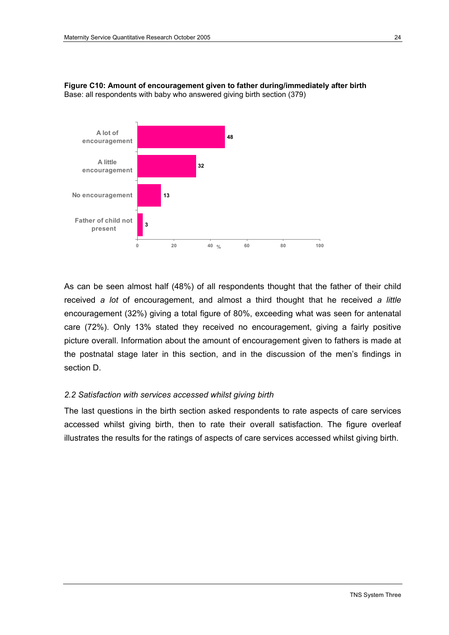

**Figure C10: Amount of encouragement given to father during/immediately after birth**  Base: all respondents with baby who answered giving birth section (379)

As can be seen almost half (48%) of all respondents thought that the father of their child received *a lot* of encouragement, and almost a third thought that he received *a little*  encouragement (32%) giving a total figure of 80%, exceeding what was seen for antenatal care (72%). Only 13% stated they received no encouragement, giving a fairly positive picture overall. Information about the amount of encouragement given to fathers is made at the postnatal stage later in this section, and in the discussion of the men's findings in section D.

### *2.2 Satisfaction with services accessed whilst giving birth*

The last questions in the birth section asked respondents to rate aspects of care services accessed whilst giving birth, then to rate their overall satisfaction. The figure overleaf illustrates the results for the ratings of aspects of care services accessed whilst giving birth.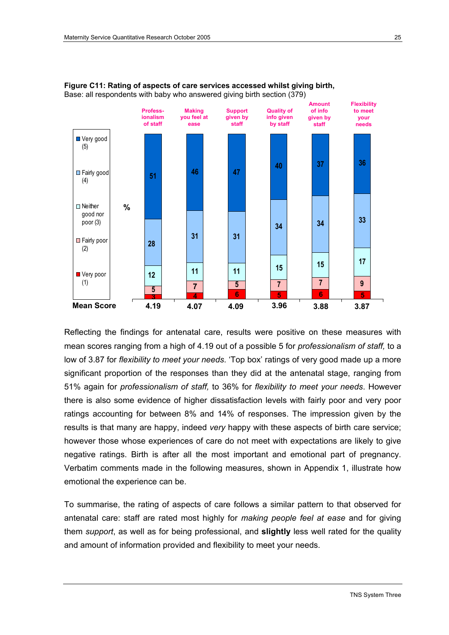



Reflecting the findings for antenatal care, results were positive on these measures with mean scores ranging from a high of 4.19 out of a possible 5 for *professionalism of staff,* to a low of 3.87 for *flexibility to meet your needs*. 'Top box' ratings of very good made up a more significant proportion of the responses than they did at the antenatal stage, ranging from 51% again for *professionalism of staff,* to 36% for *flexibility to meet your needs*. However there is also some evidence of higher dissatisfaction levels with fairly poor and very poor ratings accounting for between 8% and 14% of responses. The impression given by the results is that many are happy, indeed *very* happy with these aspects of birth care service; however those whose experiences of care do not meet with expectations are likely to give negative ratings. Birth is after all the most important and emotional part of pregnancy. Verbatim comments made in the following measures, shown in Appendix 1, illustrate how emotional the experience can be.

To summarise, the rating of aspects of care follows a similar pattern to that observed for antenatal care: staff are rated most highly for *making people feel at ease* and for giving them *support*, as well as for being professional, and **slightly** less well rated for the quality and amount of information provided and flexibility to meet your needs.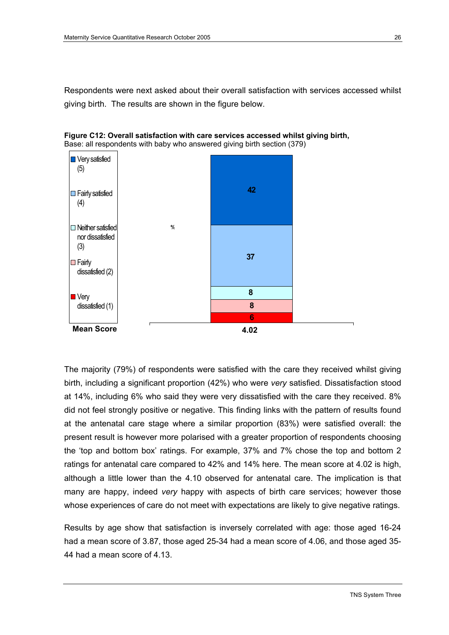Respondents were next asked about their overall satisfaction with services accessed whilst giving birth. The results are shown in the figure below.





The majority (79%) of respondents were satisfied with the care they received whilst giving birth, including a significant proportion (42%) who were *very* satisfied. Dissatisfaction stood at 14%, including 6% who said they were very dissatisfied with the care they received. 8% did not feel strongly positive or negative. This finding links with the pattern of results found at the antenatal care stage where a similar proportion (83%) were satisfied overall: the present result is however more polarised with a greater proportion of respondents choosing the 'top and bottom box' ratings. For example, 37% and 7% chose the top and bottom 2 ratings for antenatal care compared to 42% and 14% here. The mean score at 4.02 is high, although a little lower than the 4.10 observed for antenatal care. The implication is that many are happy, indeed *very* happy with aspects of birth care services; however those whose experiences of care do not meet with expectations are likely to give negative ratings.

Results by age show that satisfaction is inversely correlated with age: those aged 16-24 had a mean score of 3.87, those aged 25-34 had a mean score of 4.06, and those aged 35- 44 had a mean score of 4.13.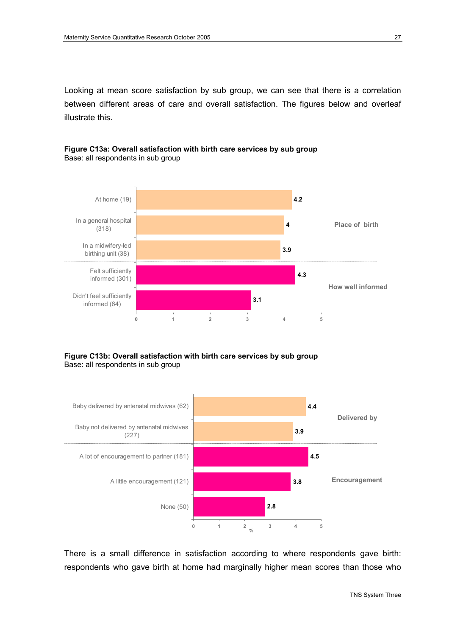Looking at mean score satisfaction by sub group, we can see that there is a correlation between different areas of care and overall satisfaction. The figures below and overleaf illustrate this.



**Figure C13a: Overall satisfaction with birth care services by sub group**  Base: all respondents in sub group

### **Figure C13b: Overall satisfaction with birth care services by sub group**  Base: all respondents in sub group



There is a small difference in satisfaction according to where respondents gave birth: respondents who gave birth at home had marginally higher mean scores than those who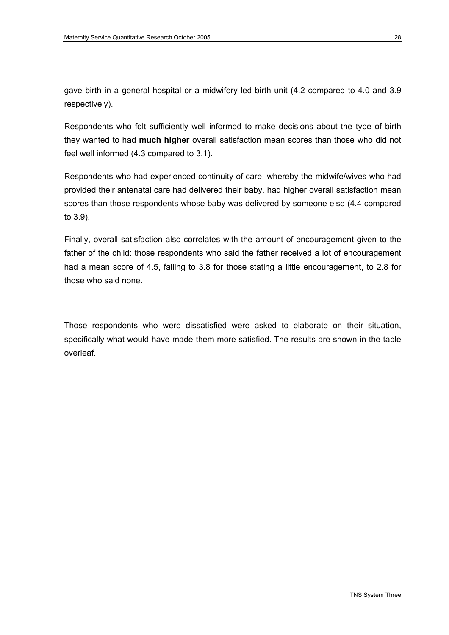gave birth in a general hospital or a midwifery led birth unit (4.2 compared to 4.0 and 3.9 respectively).

Respondents who felt sufficiently well informed to make decisions about the type of birth they wanted to had **much higher** overall satisfaction mean scores than those who did not feel well informed (4.3 compared to 3.1).

Respondents who had experienced continuity of care, whereby the midwife/wives who had provided their antenatal care had delivered their baby, had higher overall satisfaction mean scores than those respondents whose baby was delivered by someone else (4.4 compared to 3.9).

Finally, overall satisfaction also correlates with the amount of encouragement given to the father of the child: those respondents who said the father received a lot of encouragement had a mean score of 4.5, falling to 3.8 for those stating a little encouragement, to 2.8 for those who said none.

Those respondents who were dissatisfied were asked to elaborate on their situation, specifically what would have made them more satisfied. The results are shown in the table overleaf.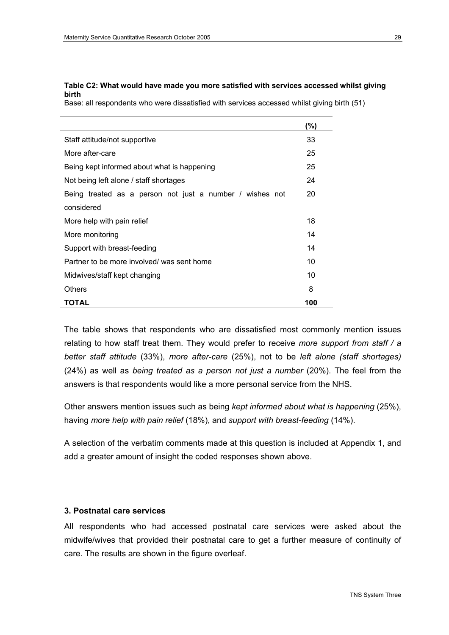### **Table C2: What would have made you more satisfied with services accessed whilst giving birth**

Base: all respondents who were dissatisfied with services accessed whilst giving birth (51)

|                                                          | (%) |
|----------------------------------------------------------|-----|
| Staff attitude/not supportive                            | 33  |
| More after-care                                          | 25  |
| Being kept informed about what is happening              |     |
| Not being left alone / staff shortages                   | 24  |
| Being treated as a person not just a number / wishes not | 20  |
| considered                                               |     |
| More help with pain relief                               | 18  |
| More monitoring                                          | 14  |
| Support with breast-feeding                              | 14  |
| Partner to be more involved/ was sent home               | 10  |
| Midwives/staff kept changing                             | 10  |
| <b>Others</b>                                            | 8   |
| <b>TOTAL</b>                                             | 100 |

The table shows that respondents who are dissatisfied most commonly mention issues relating to how staff treat them. They would prefer to receive *more support from staff / a better staff attitude* (33%), *more after-care* (25%), not to be *left alone (staff shortages)*  (24%) as well as *being treated as a person not just a number* (20%). The feel from the answers is that respondents would like a more personal service from the NHS.

Other answers mention issues such as being *kept informed about what is happening* (25%), having *more help with pain relief* (18%), and *support with breast-feeding* (14%).

A selection of the verbatim comments made at this question is included at Appendix 1, and add a greater amount of insight the coded responses shown above.

### **3. Postnatal care services**

All respondents who had accessed postnatal care services were asked about the midwife/wives that provided their postnatal care to get a further measure of continuity of care. The results are shown in the figure overleaf.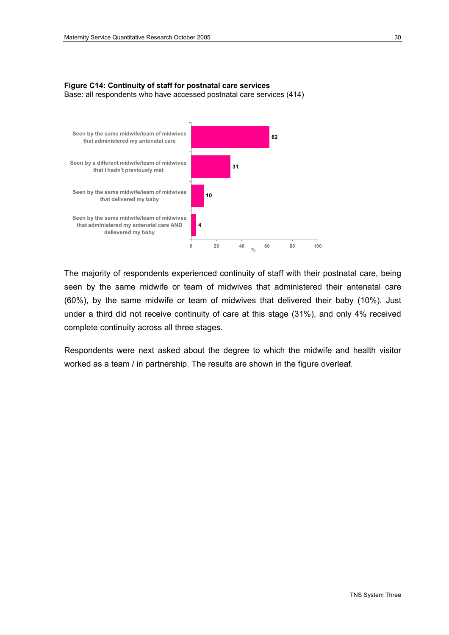### **Figure C14: Continuity of staff for postnatal care services**  Base: all respondents who have accessed postnatal care services (414)



The majority of respondents experienced continuity of staff with their postnatal care, being seen by the same midwife or team of midwives that administered their antenatal care (60%), by the same midwife or team of midwives that delivered their baby (10%). Just under a third did not receive continuity of care at this stage (31%), and only 4% received complete continuity across all three stages.

Respondents were next asked about the degree to which the midwife and health visitor worked as a team / in partnership. The results are shown in the figure overleaf.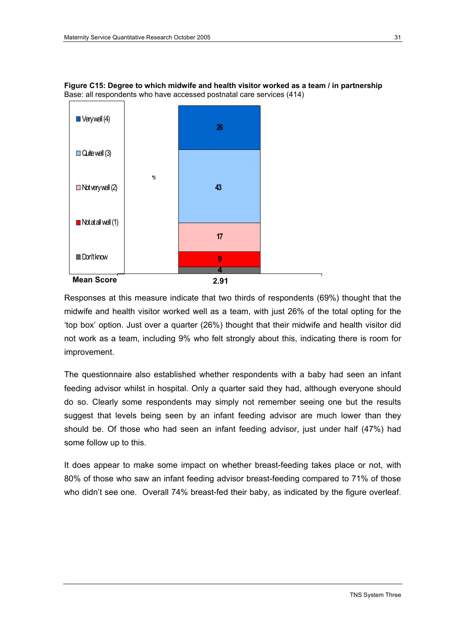

**Figure C15: Degree to which midwife and health visitor worked as a team / in partnership**  Base: all respondents who have accessed postnatal care services (414)

Responses at this measure indicate that two thirds of respondents (69%) thought that the midwife and health visitor worked well as a team, with just 26% of the total opting for the 'top box' option. Just over a quarter (26%) thought that their midwife and health visitor did not work as a team, including 9% who felt strongly about this, indicating there is room for improvement.

The questionnaire also established whether respondents with a baby had seen an infant feeding advisor whilst in hospital. Only a quarter said they had, although everyone should do so. Clearly some respondents may simply not remember seeing one but the results suggest that levels being seen by an infant feeding advisor are much lower than they should be. Of those who had seen an infant feeding advisor, just under half (47%) had some follow up to this.

It does appear to make some impact on whether breast-feeding takes place or not, with 80% of those who saw an infant feeding advisor breast-feeding compared to 71% of those who didn't see one. Overall 74% breast-fed their baby, as indicated by the figure overleaf.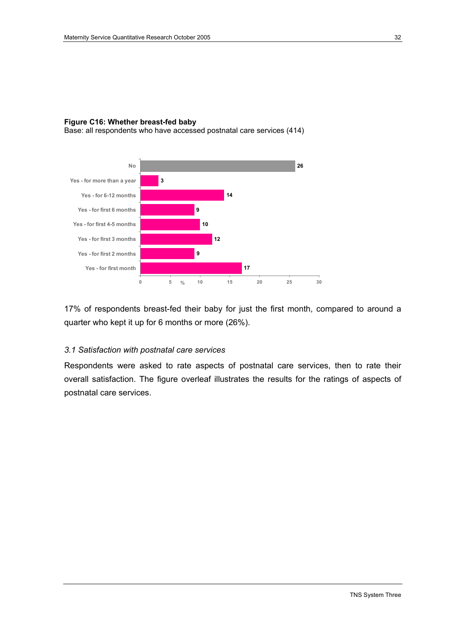### **Figure C16: Whether breast-fed baby**

Base: all respondents who have accessed postnatal care services (414)



17% of respondents breast-fed their baby for just the first month, compared to around a quarter who kept it up for 6 months or more (26%).

### *3.1 Satisfaction with postnatal care services*

Respondents were asked to rate aspects of postnatal care services, then to rate their overall satisfaction. The figure overleaf illustrates the results for the ratings of aspects of postnatal care services.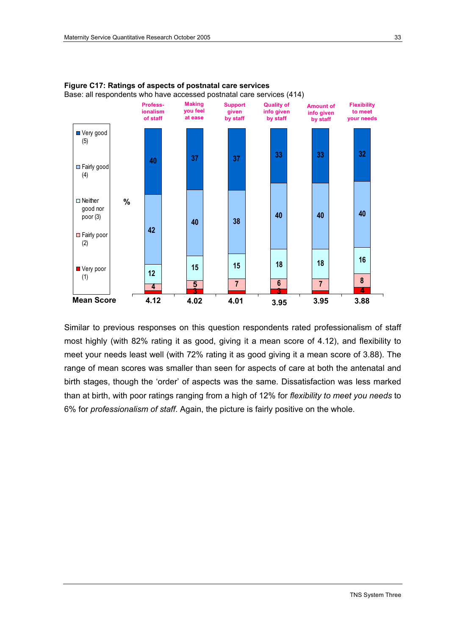

**Figure C17: Ratings of aspects of postnatal care services**  Base: all respondents who have accessed postnatal care services (414)

Similar to previous responses on this question respondents rated professionalism of staff most highly (with 82% rating it as good, giving it a mean score of 4.12), and flexibility to meet your needs least well (with 72% rating it as good giving it a mean score of 3.88). The range of mean scores was smaller than seen for aspects of care at both the antenatal and birth stages, though the 'order' of aspects was the same. Dissatisfaction was less marked than at birth, with poor ratings ranging from a high of 12% for *flexibility to meet you needs* to 6% for *professionalism of staff*. Again, the picture is fairly positive on the whole.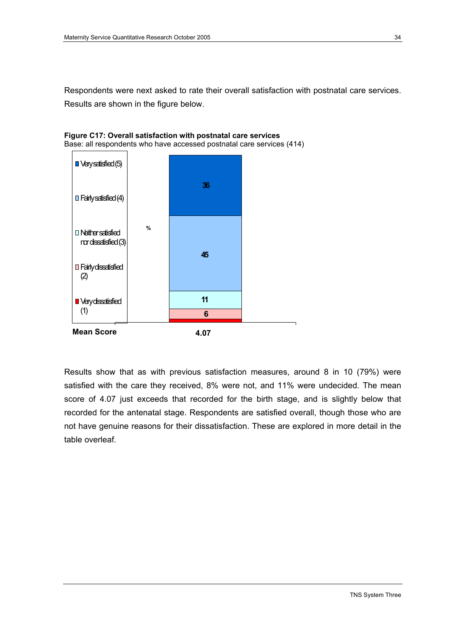Respondents were next asked to rate their overall satisfaction with postnatal care services. Results are shown in the figure below.





Results show that as with previous satisfaction measures, around 8 in 10 (79%) were satisfied with the care they received, 8% were not, and 11% were undecided. The mean score of 4.07 just exceeds that recorded for the birth stage, and is slightly below that recorded for the antenatal stage. Respondents are satisfied overall, though those who are not have genuine reasons for their dissatisfaction. These are explored in more detail in the table overleaf.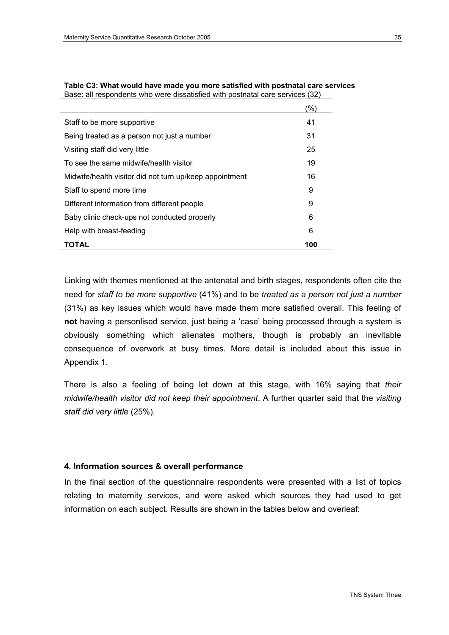|                                                         | (%) |
|---------------------------------------------------------|-----|
| Staff to be more supportive                             | 41  |
| Being treated as a person not just a number             | 31  |
| Visiting staff did very little                          | 25  |
| To see the same midwife/health visitor                  | 19  |
| Midwife/health visitor did not turn up/keep appointment | 16  |
| Staff to spend more time                                | 9   |
| Different information from different people.            | 9   |
| Baby clinic check-ups not conducted properly            | 6   |
| Help with breast-feeding                                | 6   |
| TOTAL                                                   | 100 |

#### **Table C3: What would have made you more satisfied with postnatal care services**  Base: all respondents who were dissatisfied with postnatal care services (32)

Linking with themes mentioned at the antenatal and birth stages, respondents often cite the need for *staff to be more supportive* (41%) and to be *treated as a person not just a number*  (31%) as key issues which would have made them more satisfied overall. This feeling of **not** having a personlised service, just being a 'case' being processed through a system is obviously something which alienates mothers, though is probably an inevitable consequence of overwork at busy times. More detail is included about this issue in Appendix 1.

There is also a feeling of being let down at this stage, with 16% saying that *their midwife/health visitor did not keep their appointment*. A further quarter said that the *visiting staff did very little* (25%).

#### **4. Information sources & overall performance**

In the final section of the questionnaire respondents were presented with a list of topics relating to maternity services, and were asked which sources they had used to get information on each subject. Results are shown in the tables below and overleaf: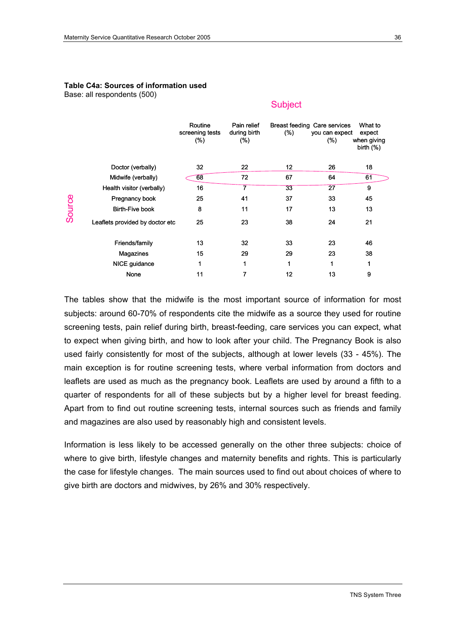### **Table C4a: Sources of information used**

Base: all respondents (500)

#### **Subject**

|        |                                                                                       | Routine<br>screening tests<br>$(\%)$ | Pain relief<br>during birth<br>$(\%)$ | (%)             | Breast feeding Care services<br>you can expect<br>(%) | What to<br>expect<br>when giving<br>birth $(%)$ |
|--------|---------------------------------------------------------------------------------------|--------------------------------------|---------------------------------------|-----------------|-------------------------------------------------------|-------------------------------------------------|
|        | Doctor (verbally)                                                                     | 32                                   | 22                                    | 12 <sub>2</sub> | 26                                                    | 18                                              |
|        | Midwife (verbally)                                                                    | 68                                   | 72                                    | 67              | 64                                                    | 61                                              |
|        | Health visitor (verbally)                                                             | 16                                   |                                       | 33              | 27                                                    | 9                                               |
|        | Pregnancy book                                                                        | 25                                   | 41                                    | 37              | 33                                                    | 45                                              |
| Source | <b>Birth-Five book</b>                                                                | 8                                    | 11                                    | 17              | 13                                                    | 13                                              |
|        | Leaflets provided by doctor etc                                                       | 25                                   | 23                                    | 38              | 24                                                    | 21                                              |
|        | Friends/family                                                                        | 13                                   | 32                                    | 33              | 23                                                    | 46                                              |
|        | Magazines                                                                             | 15                                   | 29                                    | 29              | 23                                                    | 38                                              |
|        | NICE guidance                                                                         | 1                                    | 1                                     | 1               | 1                                                     | 1                                               |
|        | None                                                                                  | 11                                   | 7                                     | 12              | 13                                                    | 9                                               |
|        | The tables show that the midwife is the most important source of information for most |                                      |                                       |                 |                                                       |                                                 |

subjects: around 60-70% of respondents cite the midwife as a source they used for routine screening tests, pain relief during birth, breast-feeding, care services you can expect, what to expect when giving birth, and how to look after your child. The Pregnancy Book is also used fairly consistently for most of the subjects, although at lower levels (33 - 45%). The main exception is for routine screening tests, where verbal information from doctors and leaflets are used as much as the pregnancy book. Leaflets are used by around a fifth to a quarter of respondents for all of these subjects but by a higher level for breast feeding. Apart from to find out routine screening tests, internal sources such as friends and family and magazines are also used by reasonably high and consistent levels.

Information is less likely to be accessed generally on the other three subjects: choice of where to give birth, lifestyle changes and maternity benefits and rights. This is particularly the case for lifestyle changes. The main sources used to find out about choices of where to give birth are doctors and midwives, by 26% and 30% respectively.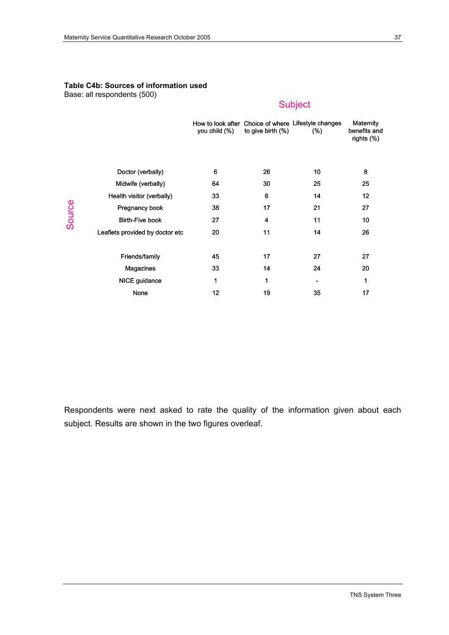#### **Table C4b: Sources of information used**

Base: all respondents (500)

### Subject

|                                 | you child (%) | to give birth $(\%)$ | How to look after Choice of where Lifestyle changes<br>(%) | Maternity<br>benefits and<br>rights (%) |
|---------------------------------|---------------|----------------------|------------------------------------------------------------|-----------------------------------------|
|                                 |               |                      |                                                            |                                         |
| Doctor (verbally)               | 6             | 26                   | 10                                                         | 8                                       |
| Midwife (verbally)              | 64            | 30                   | 25                                                         | 25                                      |
| Health visitor (verbally)       | 33            | 6                    | 14                                                         | 12                                      |
| Pregnancy book                  | 38            | 17                   | 21                                                         | 27                                      |
| <b>Birth-Five book</b>          | 27            | 4                    | 11                                                         | 10                                      |
| Leaflets provided by doctor etc | 20            | 11                   | 14                                                         | 26                                      |
|                                 |               |                      |                                                            |                                         |
| Friends/family                  | 45            | 17                   | 27                                                         | 27                                      |
| Magazines                       | 33            | 14                   | 24                                                         | 20                                      |
| NICE guidance                   | 1             | 1                    |                                                            | 1                                       |
| None                            | 12            | 19                   | 35                                                         | 17                                      |

Respondents were next asked to rate the quality of the information given about each subject. Results are shown in the two figures overleaf.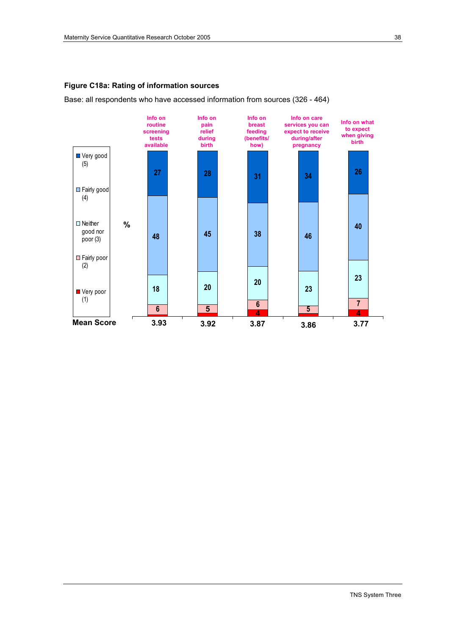#### **Figure C18a: Rating of information sources**

Base: all respondents who have accessed information from sources (326 - 464)

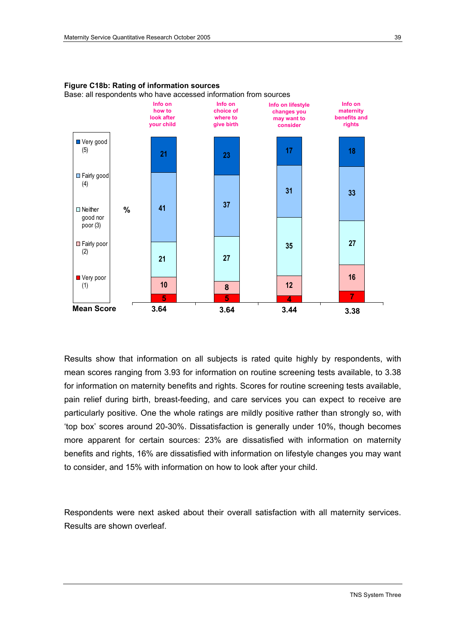

### **Figure C18b: Rating of information sources**

Base: all respondents who have accessed information from sources

Results show that information on all subjects is rated quite highly by respondents, with mean scores ranging from 3.93 for information on routine screening tests available, to 3.38 for information on maternity benefits and rights. Scores for routine screening tests available, pain relief during birth, breast-feeding, and care services you can expect to receive are particularly positive. One the whole ratings are mildly positive rather than strongly so, with 'top box' scores around 20-30%. Dissatisfaction is generally under 10%, though becomes more apparent for certain sources: 23% are dissatisfied with information on maternity benefits and rights, 16% are dissatisfied with information on lifestyle changes you may want to consider, and 15% with information on how to look after your child.

Respondents were next asked about their overall satisfaction with all maternity services. Results are shown overleaf.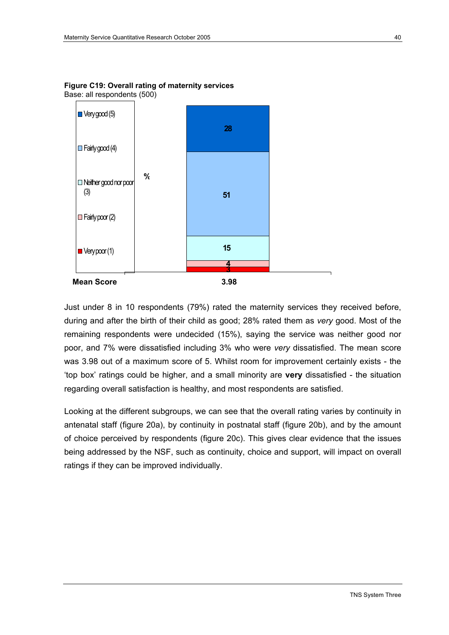

**Figure C19: Overall rating of maternity services**  Base: all respondents (500)

Just under 8 in 10 respondents (79%) rated the maternity services they received before, during and after the birth of their child as good; 28% rated them as *very* good. Most of the remaining respondents were undecided (15%), saying the service was neither good nor poor, and 7% were dissatisfied including 3% who were *very* dissatisfied. The mean score was 3.98 out of a maximum score of 5. Whilst room for improvement certainly exists - the 'top box' ratings could be higher, and a small minority are **very** dissatisfied - the situation regarding overall satisfaction is healthy, and most respondents are satisfied.

Looking at the different subgroups, we can see that the overall rating varies by continuity in antenatal staff (figure 20a), by continuity in postnatal staff (figure 20b), and by the amount of choice perceived by respondents (figure 20c). This gives clear evidence that the issues being addressed by the NSF, such as continuity, choice and support, will impact on overall ratings if they can be improved individually.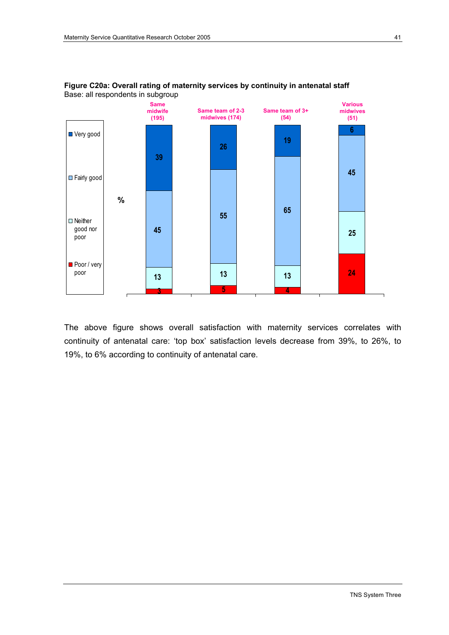

#### **Figure C20a: Overall rating of maternity services by continuity in antenatal staff**  Base: all respondents in subgroup

The above figure shows overall satisfaction with maternity services correlates with continuity of antenatal care: 'top box' satisfaction levels decrease from 39%, to 26%, to 19%, to 6% according to continuity of antenatal care.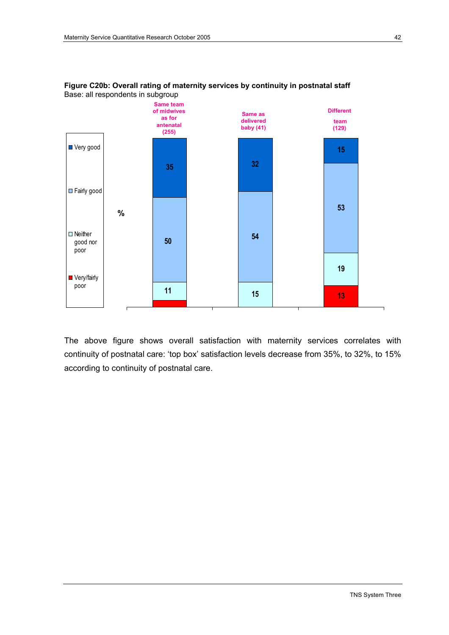



The above figure shows overall satisfaction with maternity services correlates with continuity of postnatal care: 'top box' satisfaction levels decrease from 35%, to 32%, to 15% according to continuity of postnatal care.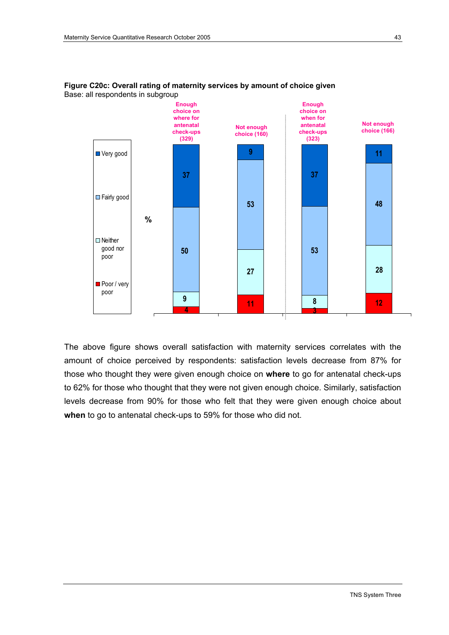

#### **Figure C20c: Overall rating of maternity services by amount of choice given**  Base: all respondents in subgroup

The above figure shows overall satisfaction with maternity services correlates with the amount of choice perceived by respondents: satisfaction levels decrease from 87% for those who thought they were given enough choice on **where** to go for antenatal check-ups to 62% for those who thought that they were not given enough choice. Similarly, satisfaction levels decrease from 90% for those who felt that they were given enough choice about **when** to go to antenatal check-ups to 59% for those who did not.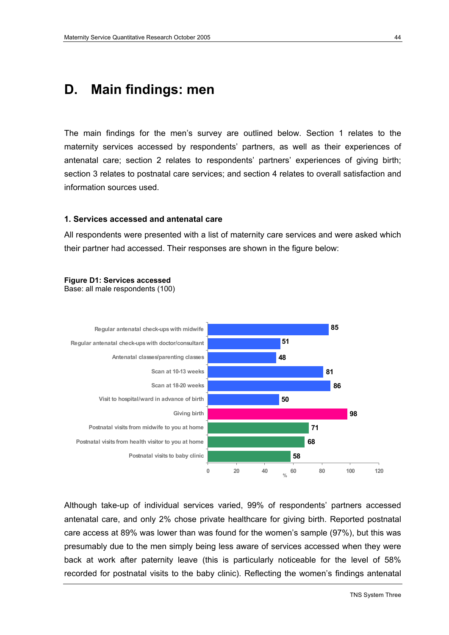## **D. Main findings: men**

The main findings for the men's survey are outlined below. Section 1 relates to the maternity services accessed by respondents' partners, as well as their experiences of antenatal care; section 2 relates to respondents' partners' experiences of giving birth; section 3 relates to postnatal care services; and section 4 relates to overall satisfaction and information sources used.

#### **1. Services accessed and antenatal care**

All respondents were presented with a list of maternity care services and were asked which their partner had accessed. Their responses are shown in the figure below:



Base: all male respondents (100)



Although take-up of individual services varied, 99% of respondents' partners accessed antenatal care, and only 2% chose private healthcare for giving birth. Reported postnatal care access at 89% was lower than was found for the women's sample (97%), but this was presumably due to the men simply being less aware of services accessed when they were back at work after paternity leave (this is particularly noticeable for the level of 58% recorded for postnatal visits to the baby clinic). Reflecting the women's findings antenatal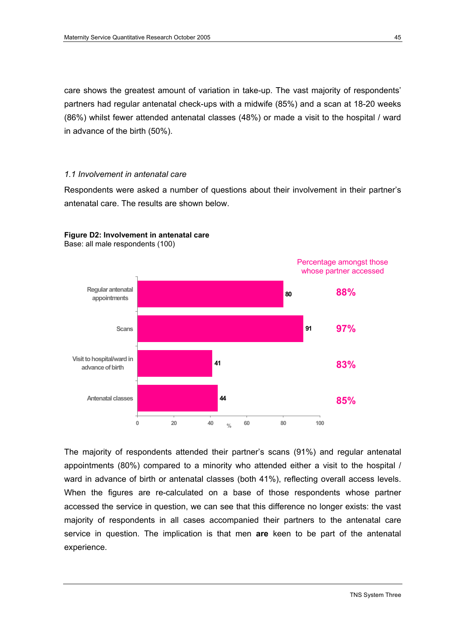care shows the greatest amount of variation in take-up. The vast majority of respondents' partners had regular antenatal check-ups with a midwife (85%) and a scan at 18-20 weeks (86%) whilst fewer attended antenatal classes (48%) or made a visit to the hospital / ward in advance of the birth (50%).

#### *1.1 Involvement in antenatal care*

Respondents were asked a number of questions about their involvement in their partner's antenatal care. The results are shown below.



#### **Figure D2: Involvement in antenatal care**

Base: all male respondents (100)

The majority of respondents attended their partner's scans (91%) and regular antenatal appointments (80%) compared to a minority who attended either a visit to the hospital / ward in advance of birth or antenatal classes (both 41%), reflecting overall access levels. When the figures are re-calculated on a base of those respondents whose partner accessed the service in question, we can see that this difference no longer exists: the vast majority of respondents in all cases accompanied their partners to the antenatal care service in question. The implication is that men **are** keen to be part of the antenatal experience.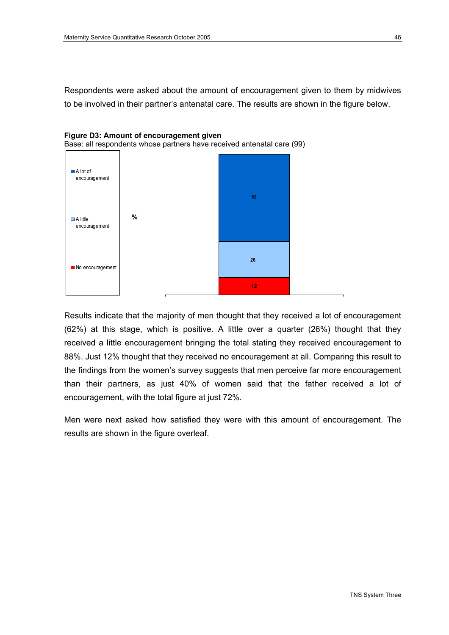Respondents were asked about the amount of encouragement given to them by midwives to be involved in their partner's antenatal care. The results are shown in the figure below.





Results indicate that the majority of men thought that they received a lot of encouragement (62%) at this stage, which is positive. A little over a quarter (26%) thought that they received a little encouragement bringing the total stating they received encouragement to 88%. Just 12% thought that they received no encouragement at all. Comparing this result to the findings from the women's survey suggests that men perceive far more encouragement than their partners, as just 40% of women said that the father received a lot of encouragement, with the total figure at just 72%.

Men were next asked how satisfied they were with this amount of encouragement. The results are shown in the figure overleaf.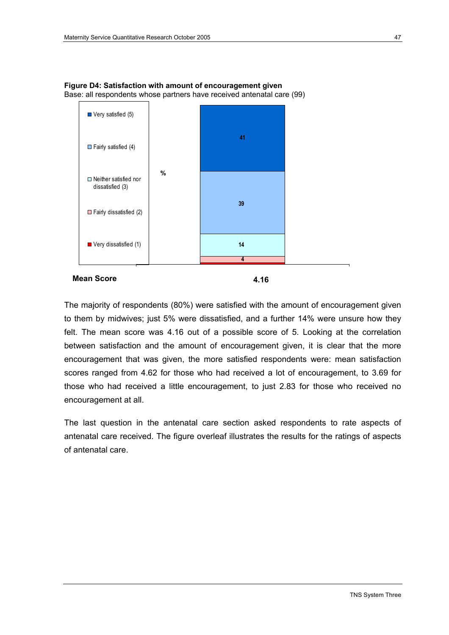

**Figure D4: Satisfaction with amount of encouragement given**  Base: all respondents whose partners have received antenatal care (99)

The majority of respondents (80%) were satisfied with the amount of encouragement given to them by midwives; just 5% were dissatisfied, and a further 14% were unsure how they felt. The mean score was 4.16 out of a possible score of 5. Looking at the correlation between satisfaction and the amount of encouragement given, it is clear that the more encouragement that was given, the more satisfied respondents were: mean satisfaction scores ranged from 4.62 for those who had received a lot of encouragement, to 3.69 for those who had received a little encouragement, to just 2.83 for those who received no encouragement at all.

The last question in the antenatal care section asked respondents to rate aspects of antenatal care received. The figure overleaf illustrates the results for the ratings of aspects of antenatal care.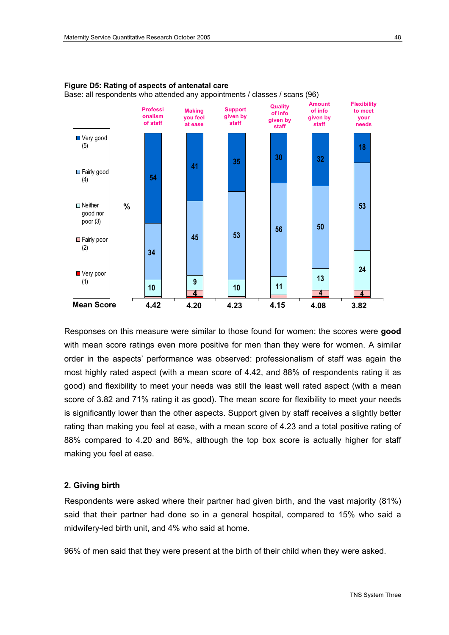

**Figure D5: Rating of aspects of antenatal care**  Base: all respondents who attended any appointments / classes / scans (96)

Responses on this measure were similar to those found for women: the scores were **good** with mean score ratings even more positive for men than they were for women. A similar order in the aspects' performance was observed: professionalism of staff was again the most highly rated aspect (with a mean score of 4.42, and 88% of respondents rating it as good) and flexibility to meet your needs was still the least well rated aspect (with a mean score of 3.82 and 71% rating it as good). The mean score for flexibility to meet your needs is significantly lower than the other aspects. Support given by staff receives a slightly better rating than making you feel at ease, with a mean score of 4.23 and a total positive rating of 88% compared to 4.20 and 86%, although the top box score is actually higher for staff making you feel at ease.

#### **2. Giving birth**

Respondents were asked where their partner had given birth, and the vast majority (81%) said that their partner had done so in a general hospital, compared to 15% who said a midwifery-led birth unit, and 4% who said at home.

96% of men said that they were present at the birth of their child when they were asked.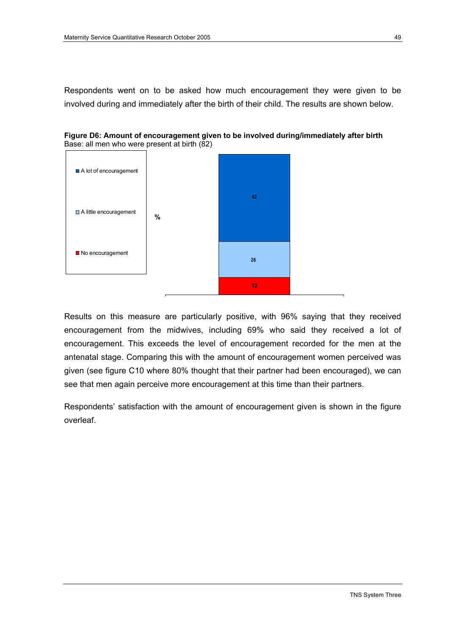Respondents went on to be asked how much encouragement they were given to be involved during and immediately after the birth of their child. The results are shown below.





Results on this measure are particularly positive, with 96% saying that they received encouragement from the midwives, including 69% who said they received a lot of encouragement. This exceeds the level of encouragement recorded for the men at the antenatal stage. Comparing this with the amount of encouragement women perceived was given (see figure C10 where 80% thought that their partner had been encouraged), we can see that men again perceive more encouragement at this time than their partners.

Respondents' satisfaction with the amount of encouragement given is shown in the figure overleaf.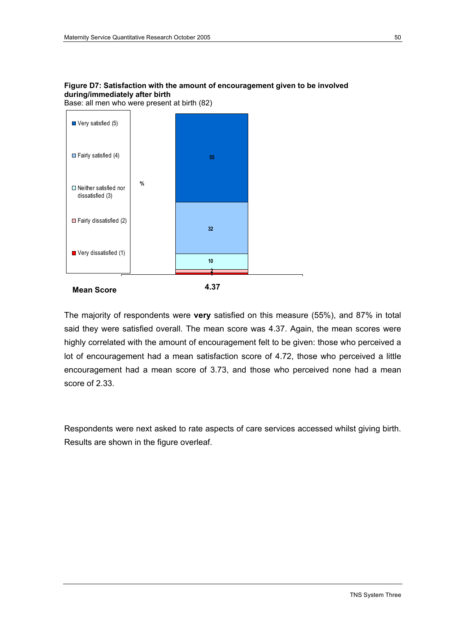

Base: all men who were present at birth (82)



The majority of respondents were **very** satisfied on this measure (55%), and 87% in total said they were satisfied overall. The mean score was 4.37. Again, the mean scores were highly correlated with the amount of encouragement felt to be given: those who perceived a lot of encouragement had a mean satisfaction score of 4.72, those who perceived a little encouragement had a mean score of 3.73, and those who perceived none had a mean score of 2.33.

Respondents were next asked to rate aspects of care services accessed whilst giving birth. Results are shown in the figure overleaf.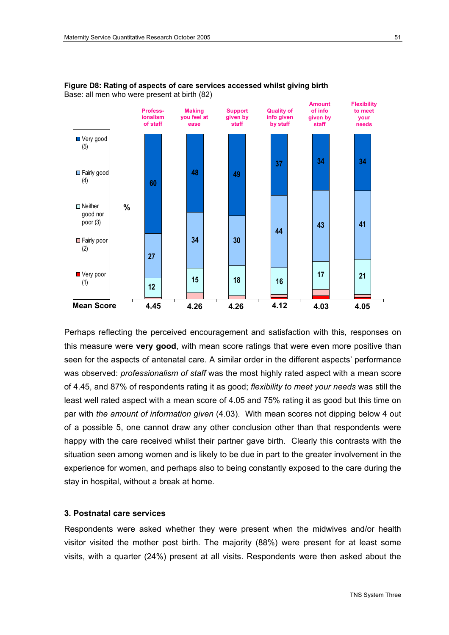



Perhaps reflecting the perceived encouragement and satisfaction with this, responses on this measure were **very good**, with mean score ratings that were even more positive than seen for the aspects of antenatal care. A similar order in the different aspects' performance was observed: *professionalism of staff* was the most highly rated aspect with a mean score of 4.45, and 87% of respondents rating it as good; *flexibility to meet your needs* was still the least well rated aspect with a mean score of 4.05 and 75% rating it as good but this time on par with *the amount of information given* (4.03). With mean scores not dipping below 4 out of a possible 5, one cannot draw any other conclusion other than that respondents were happy with the care received whilst their partner gave birth. Clearly this contrasts with the situation seen among women and is likely to be due in part to the greater involvement in the experience for women, and perhaps also to being constantly exposed to the care during the stay in hospital, without a break at home.

#### **3. Postnatal care services**

Respondents were asked whether they were present when the midwives and/or health visitor visited the mother post birth. The majority (88%) were present for at least some visits, with a quarter (24%) present at all visits. Respondents were then asked about the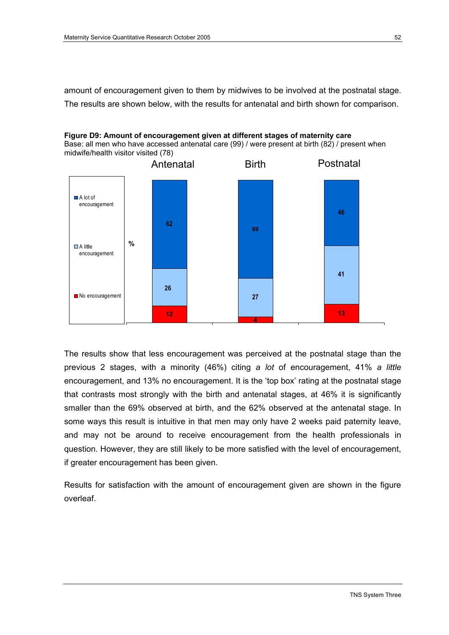amount of encouragement given to them by midwives to be involved at the postnatal stage. The results are shown below, with the results for antenatal and birth shown for comparison.

### **Figure D9: Amount of encouragement given at different stages of maternity care**

Base: all men who have accessed antenatal care (99) / were present at birth (82) / present when midwife/health visitor visited (78)



The results show that less encouragement was perceived at the postnatal stage than the previous 2 stages, with a minority (46%) citing *a lot* of encouragement, 41% *a little*  encouragement, and 13% no encouragement. It is the 'top box' rating at the postnatal stage that contrasts most strongly with the birth and antenatal stages, at 46% it is significantly smaller than the 69% observed at birth, and the 62% observed at the antenatal stage. In some ways this result is intuitive in that men may only have 2 weeks paid paternity leave, and may not be around to receive encouragement from the health professionals in question. However, they are still likely to be more satisfied with the level of encouragement, if greater encouragement has been given.

Results for satisfaction with the amount of encouragement given are shown in the figure overleaf.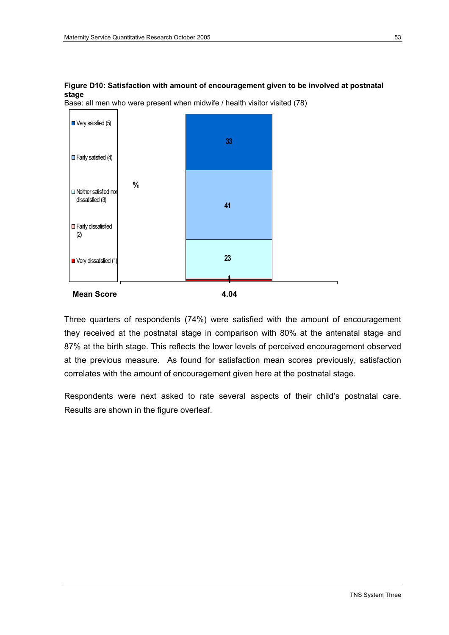#### **Figure D10: Satisfaction with amount of encouragement given to be involved at postnatal stage**





Three quarters of respondents (74%) were satisfied with the amount of encouragement they received at the postnatal stage in comparison with 80% at the antenatal stage and 87% at the birth stage. This reflects the lower levels of perceived encouragement observed at the previous measure. As found for satisfaction mean scores previously, satisfaction correlates with the amount of encouragement given here at the postnatal stage.

Respondents were next asked to rate several aspects of their child's postnatal care. Results are shown in the figure overleaf.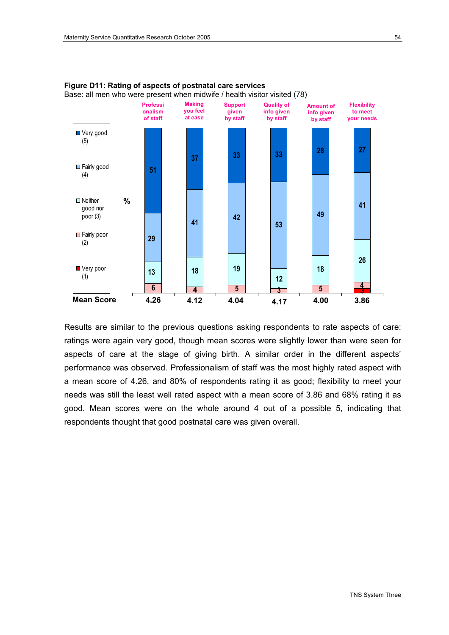

**Figure D11: Rating of aspects of postnatal care services**  Base: all men who were present when midwife / health visitor visited (78)

Results are similar to the previous questions asking respondents to rate aspects of care: ratings were again very good, though mean scores were slightly lower than were seen for aspects of care at the stage of giving birth. A similar order in the different aspects' performance was observed. Professionalism of staff was the most highly rated aspect with a mean score of 4.26, and 80% of respondents rating it as good; flexibility to meet your needs was still the least well rated aspect with a mean score of 3.86 and 68% rating it as good. Mean scores were on the whole around 4 out of a possible 5, indicating that respondents thought that good postnatal care was given overall.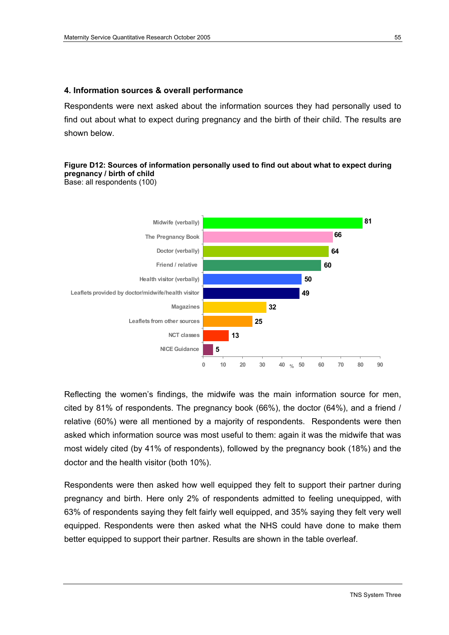#### **4. Information sources & overall performance**

Respondents were next asked about the information sources they had personally used to find out about what to expect during pregnancy and the birth of their child. The results are shown below.

### **Figure D12: Sources of information personally used to find out about what to expect during pregnancy / birth of child**

Base: all respondents (100)



Reflecting the women's findings, the midwife was the main information source for men, cited by 81% of respondents. The pregnancy book (66%), the doctor (64%), and a friend / relative (60%) were all mentioned by a majority of respondents. Respondents were then asked which information source was most useful to them: again it was the midwife that was most widely cited (by 41% of respondents), followed by the pregnancy book (18%) and the doctor and the health visitor (both 10%).

Respondents were then asked how well equipped they felt to support their partner during pregnancy and birth. Here only 2% of respondents admitted to feeling unequipped, with 63% of respondents saying they felt fairly well equipped, and 35% saying they felt very well equipped. Respondents were then asked what the NHS could have done to make them better equipped to support their partner. Results are shown in the table overleaf.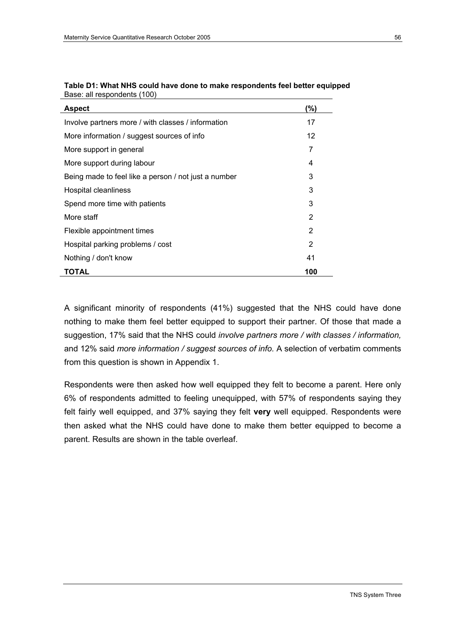| <b>Aspect</b>                                        | (%) |
|------------------------------------------------------|-----|
| Involve partners more / with classes / information   | 17  |
| More information / suggest sources of info           | 12  |
| More support in general                              | 7   |
| More support during labour                           | 4   |
| Being made to feel like a person / not just a number | 3   |
| Hospital cleanliness                                 | 3   |
| Spend more time with patients                        | 3   |
| More staff                                           | 2   |
| Flexible appointment times                           | 2   |
| Hospital parking problems / cost                     | 2   |
| Nothing / don't know                                 | 41  |
| TOTAL                                                | 100 |

| Table D1: What NHS could have done to make respondents feel better equipped |
|-----------------------------------------------------------------------------|
| Base: all respondents (100)                                                 |

A significant minority of respondents (41%) suggested that the NHS could have done nothing to make them feel better equipped to support their partner. Of those that made a suggestion, 17% said that the NHS could *involve partners more / with classes / information,*  and 12% said *more information / suggest sources of info.* A selection of verbatim comments from this question is shown in Appendix 1.

Respondents were then asked how well equipped they felt to become a parent. Here only 6% of respondents admitted to feeling unequipped, with 57% of respondents saying they felt fairly well equipped, and 37% saying they felt **very** well equipped. Respondents were then asked what the NHS could have done to make them better equipped to become a parent. Results are shown in the table overleaf.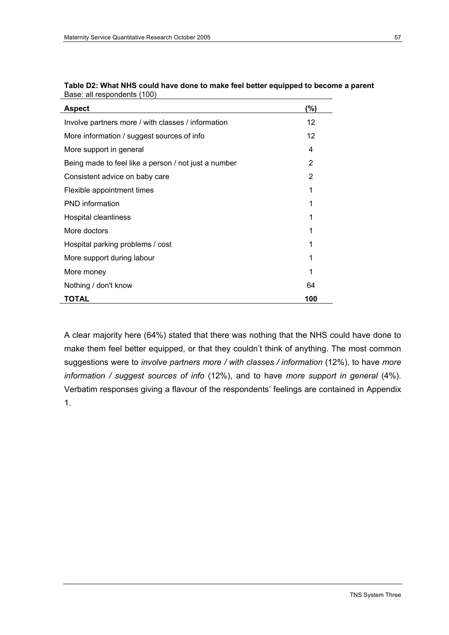| <b>Aspect</b>                                        | (%) |
|------------------------------------------------------|-----|
| Involve partners more / with classes / information   | 12  |
| More information / suggest sources of info           | 12  |
| More support in general                              | 4   |
| Being made to feel like a person / not just a number | 2   |
| Consistent advice on baby care                       | 2   |
| Flexible appointment times                           | 1   |
| <b>PND</b> information                               | 1   |
| Hospital cleanliness                                 | 1   |
| More doctors                                         | 1   |
| Hospital parking problems / cost                     | 1   |
| More support during labour                           | 1   |
| More money                                           | 1   |
| Nothing / don't know                                 | 64  |
| TOTAL                                                | 100 |

| Table D2: What NHS could have done to make feel better equipped to become a parent |
|------------------------------------------------------------------------------------|
| Base: all respondents (100)                                                        |

A clear majority here (64%) stated that there was nothing that the NHS could have done to make them feel better equipped, or that they couldn't think of anything. The most common suggestions were to *involve partners more / with classes / information* (12%), to have *more information / suggest sources of info* (12%), and to have *more support in general* (4%). Verbatim responses giving a flavour of the respondents' feelings are contained in Appendix 1.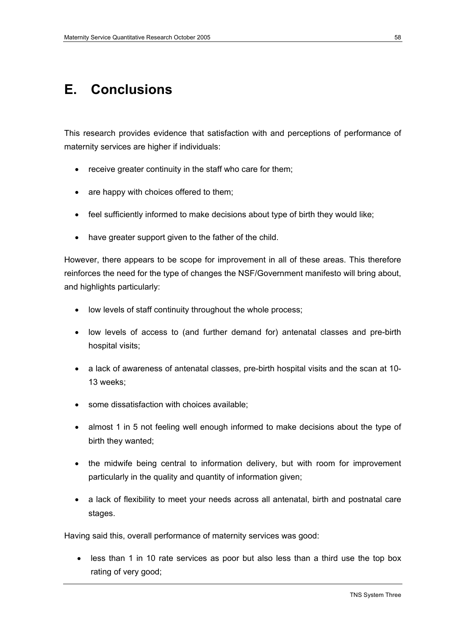## **E. Conclusions**

This research provides evidence that satisfaction with and perceptions of performance of maternity services are higher if individuals:

- receive greater continuity in the staff who care for them;
- are happy with choices offered to them;
- feel sufficiently informed to make decisions about type of birth they would like;
- have greater support given to the father of the child.

However, there appears to be scope for improvement in all of these areas. This therefore reinforces the need for the type of changes the NSF/Government manifesto will bring about, and highlights particularly:

- low levels of staff continuity throughout the whole process;
- low levels of access to (and further demand for) antenatal classes and pre-birth hospital visits;
- a lack of awareness of antenatal classes, pre-birth hospital visits and the scan at 10- 13 weeks;
- some dissatisfaction with choices available;
- almost 1 in 5 not feeling well enough informed to make decisions about the type of birth they wanted;
- the midwife being central to information delivery, but with room for improvement particularly in the quality and quantity of information given;
- a lack of flexibility to meet your needs across all antenatal, birth and postnatal care stages.

Having said this, overall performance of maternity services was good:

• less than 1 in 10 rate services as poor but also less than a third use the top box rating of very good;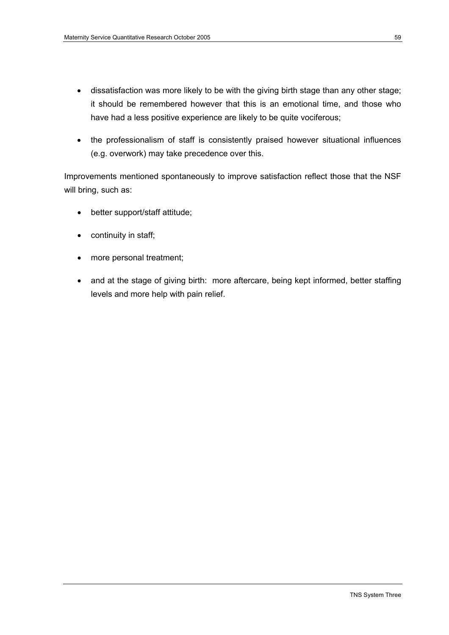- dissatisfaction was more likely to be with the giving birth stage than any other stage; it should be remembered however that this is an emotional time, and those who have had a less positive experience are likely to be quite vociferous;
- the professionalism of staff is consistently praised however situational influences (e.g. overwork) may take precedence over this.

Improvements mentioned spontaneously to improve satisfaction reflect those that the NSF will bring, such as:

- better support/staff attitude;
- continuity in staff;
- more personal treatment;
- and at the stage of giving birth: more aftercare, being kept informed, better staffing levels and more help with pain relief.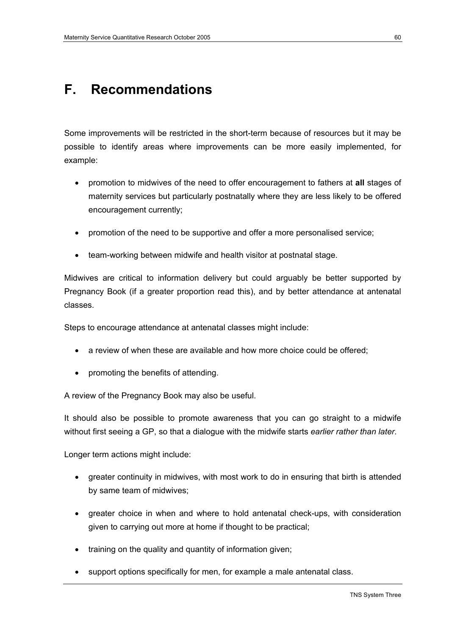## **F. Recommendations**

Some improvements will be restricted in the short-term because of resources but it may be possible to identify areas where improvements can be more easily implemented, for example:

- promotion to midwives of the need to offer encouragement to fathers at **all** stages of maternity services but particularly postnatally where they are less likely to be offered encouragement currently;
- promotion of the need to be supportive and offer a more personalised service;
- team-working between midwife and health visitor at postnatal stage.

Midwives are critical to information delivery but could arguably be better supported by Pregnancy Book (if a greater proportion read this), and by better attendance at antenatal classes.

Steps to encourage attendance at antenatal classes might include:

- a review of when these are available and how more choice could be offered;
- promoting the benefits of attending.

A review of the Pregnancy Book may also be useful.

It should also be possible to promote awareness that you can go straight to a midwife without first seeing a GP, so that a dialogue with the midwife starts *earlier rather than later.* 

Longer term actions might include:

- greater continuity in midwives, with most work to do in ensuring that birth is attended by same team of midwives;
- greater choice in when and where to hold antenatal check-ups, with consideration given to carrying out more at home if thought to be practical;
- training on the quality and quantity of information given;
- support options specifically for men, for example a male antenatal class.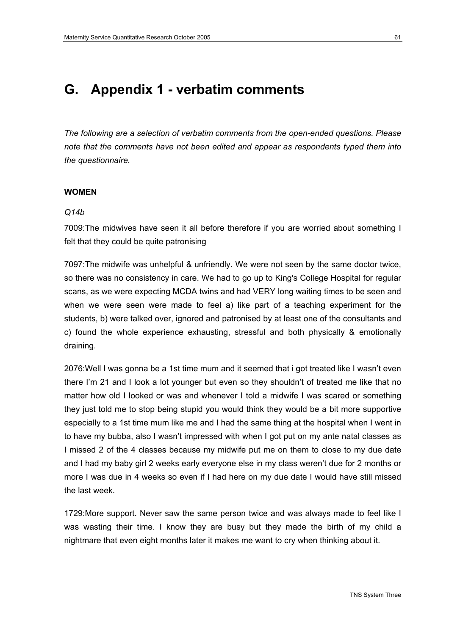## **G. Appendix 1 - verbatim comments**

*The following are a selection of verbatim comments from the open-ended questions. Please note that the comments have not been edited and appear as respondents typed them into the questionnaire.* 

#### **WOMEN**

#### *Q14b*

7009:The midwives have seen it all before therefore if you are worried about something I felt that they could be quite patronising

7097:The midwife was unhelpful & unfriendly. We were not seen by the same doctor twice, so there was no consistency in care. We had to go up to King's College Hospital for regular scans, as we were expecting MCDA twins and had VERY long waiting times to be seen and when we were seen were made to feel a) like part of a teaching experiment for the students, b) were talked over, ignored and patronised by at least one of the consultants and c) found the whole experience exhausting, stressful and both physically & emotionally draining.

2076:Well I was gonna be a 1st time mum and it seemed that i got treated like I wasn't even there I'm 21 and I look a lot younger but even so they shouldn't of treated me like that no matter how old I looked or was and whenever I told a midwife I was scared or something they just told me to stop being stupid you would think they would be a bit more supportive especially to a 1st time mum like me and I had the same thing at the hospital when I went in to have my bubba, also I wasn't impressed with when I got put on my ante natal classes as I missed 2 of the 4 classes because my midwife put me on them to close to my due date and I had my baby girl 2 weeks early everyone else in my class weren't due for 2 months or more I was due in 4 weeks so even if I had here on my due date I would have still missed the last week.

1729:More support. Never saw the same person twice and was always made to feel like I was wasting their time. I know they are busy but they made the birth of my child a nightmare that even eight months later it makes me want to cry when thinking about it.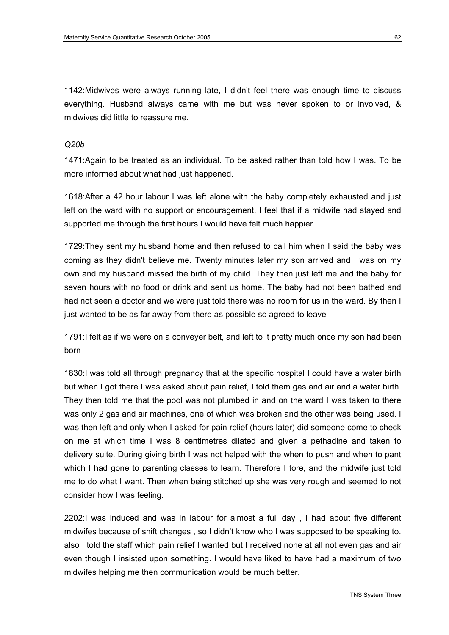1142:Midwives were always running late, I didn't feel there was enough time to discuss everything. Husband always came with me but was never spoken to or involved, & midwives did little to reassure me.

#### *Q20b*

1471:Again to be treated as an individual. To be asked rather than told how I was. To be more informed about what had just happened.

1618:After a 42 hour labour I was left alone with the baby completely exhausted and just left on the ward with no support or encouragement. I feel that if a midwife had stayed and supported me through the first hours I would have felt much happier.

1729:They sent my husband home and then refused to call him when I said the baby was coming as they didn't believe me. Twenty minutes later my son arrived and I was on my own and my husband missed the birth of my child. They then just left me and the baby for seven hours with no food or drink and sent us home. The baby had not been bathed and had not seen a doctor and we were just told there was no room for us in the ward. By then I just wanted to be as far away from there as possible so agreed to leave

1791:I felt as if we were on a conveyer belt, and left to it pretty much once my son had been born

1830:I was told all through pregnancy that at the specific hospital I could have a water birth but when I got there I was asked about pain relief, I told them gas and air and a water birth. They then told me that the pool was not plumbed in and on the ward I was taken to there was only 2 gas and air machines, one of which was broken and the other was being used. I was then left and only when I asked for pain relief (hours later) did someone come to check on me at which time I was 8 centimetres dilated and given a pethadine and taken to delivery suite. During giving birth I was not helped with the when to push and when to pant which I had gone to parenting classes to learn. Therefore I tore, and the midwife just told me to do what I want. Then when being stitched up she was very rough and seemed to not consider how I was feeling.

2202:I was induced and was in labour for almost a full day , I had about five different midwifes because of shift changes , so I didn't know who I was supposed to be speaking to. also I told the staff which pain relief I wanted but I received none at all not even gas and air even though I insisted upon something. I would have liked to have had a maximum of two midwifes helping me then communication would be much better.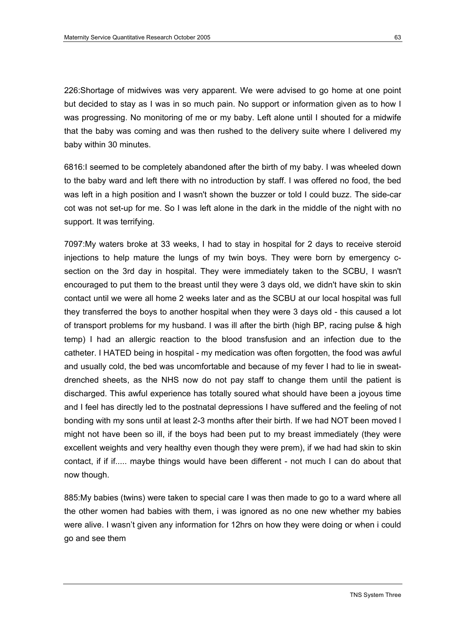226:Shortage of midwives was very apparent. We were advised to go home at one point but decided to stay as I was in so much pain. No support or information given as to how I was progressing. No monitoring of me or my baby. Left alone until I shouted for a midwife that the baby was coming and was then rushed to the delivery suite where I delivered my baby within 30 minutes.

6816:I seemed to be completely abandoned after the birth of my baby. I was wheeled down to the baby ward and left there with no introduction by staff. I was offered no food, the bed was left in a high position and I wasn't shown the buzzer or told I could buzz. The side-car cot was not set-up for me. So I was left alone in the dark in the middle of the night with no support. It was terrifying.

7097:My waters broke at 33 weeks, I had to stay in hospital for 2 days to receive steroid injections to help mature the lungs of my twin boys. They were born by emergency csection on the 3rd day in hospital. They were immediately taken to the SCBU, I wasn't encouraged to put them to the breast until they were 3 days old, we didn't have skin to skin contact until we were all home 2 weeks later and as the SCBU at our local hospital was full they transferred the boys to another hospital when they were 3 days old - this caused a lot of transport problems for my husband. I was ill after the birth (high BP, racing pulse & high temp) I had an allergic reaction to the blood transfusion and an infection due to the catheter. I HATED being in hospital - my medication was often forgotten, the food was awful and usually cold, the bed was uncomfortable and because of my fever I had to lie in sweatdrenched sheets, as the NHS now do not pay staff to change them until the patient is discharged. This awful experience has totally soured what should have been a joyous time and I feel has directly led to the postnatal depressions I have suffered and the feeling of not bonding with my sons until at least 2-3 months after their birth. If we had NOT been moved I might not have been so ill, if the boys had been put to my breast immediately (they were excellent weights and very healthy even though they were prem), if we had had skin to skin contact, if if if..... maybe things would have been different - not much I can do about that now though.

885:My babies (twins) were taken to special care I was then made to go to a ward where all the other women had babies with them, i was ignored as no one new whether my babies were alive. I wasn't given any information for 12hrs on how they were doing or when i could go and see them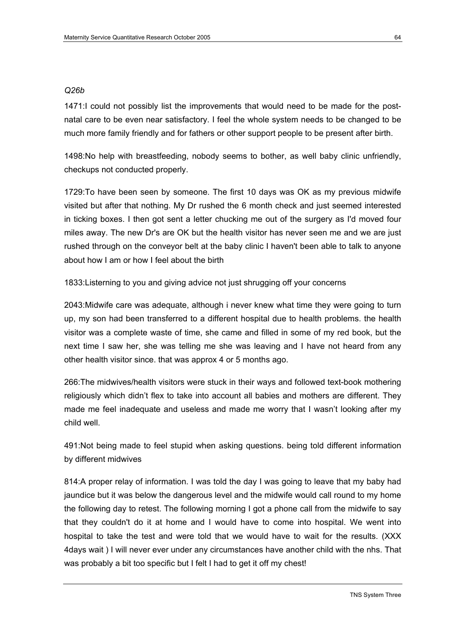#### *Q26b*

1471:I could not possibly list the improvements that would need to be made for the postnatal care to be even near satisfactory. I feel the whole system needs to be changed to be much more family friendly and for fathers or other support people to be present after birth.

1498:No help with breastfeeding, nobody seems to bother, as well baby clinic unfriendly, checkups not conducted properly.

1729:To have been seen by someone. The first 10 days was OK as my previous midwife visited but after that nothing. My Dr rushed the 6 month check and just seemed interested in ticking boxes. I then got sent a letter chucking me out of the surgery as I'd moved four miles away. The new Dr's are OK but the health visitor has never seen me and we are just rushed through on the conveyor belt at the baby clinic I haven't been able to talk to anyone about how I am or how I feel about the birth

1833:Listerning to you and giving advice not just shrugging off your concerns

2043:Midwife care was adequate, although i never knew what time they were going to turn up, my son had been transferred to a different hospital due to health problems. the health visitor was a complete waste of time, she came and filled in some of my red book, but the next time I saw her, she was telling me she was leaving and I have not heard from any other health visitor since. that was approx 4 or 5 months ago.

266:The midwives/health visitors were stuck in their ways and followed text-book mothering religiously which didn't flex to take into account all babies and mothers are different. They made me feel inadequate and useless and made me worry that I wasn't looking after my child well.

491:Not being made to feel stupid when asking questions. being told different information by different midwives

814:A proper relay of information. I was told the day I was going to leave that my baby had jaundice but it was below the dangerous level and the midwife would call round to my home the following day to retest. The following morning I got a phone call from the midwife to say that they couldn't do it at home and I would have to come into hospital. We went into hospital to take the test and were told that we would have to wait for the results. (XXX 4days wait ) I will never ever under any circumstances have another child with the nhs. That was probably a bit too specific but I felt I had to get it off my chest!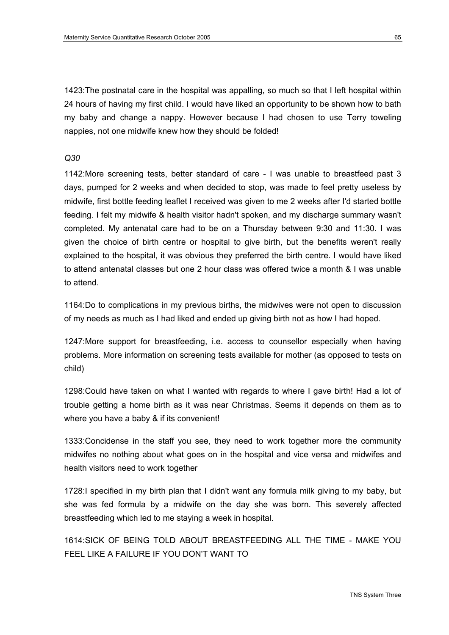1423:The postnatal care in the hospital was appalling, so much so that I left hospital within 24 hours of having my first child. I would have liked an opportunity to be shown how to bath my baby and change a nappy. However because I had chosen to use Terry toweling nappies, not one midwife knew how they should be folded!

#### *Q30*

1142:More screening tests, better standard of care - I was unable to breastfeed past 3 days, pumped for 2 weeks and when decided to stop, was made to feel pretty useless by midwife, first bottle feeding leaflet I received was given to me 2 weeks after I'd started bottle feeding. I felt my midwife & health visitor hadn't spoken, and my discharge summary wasn't completed. My antenatal care had to be on a Thursday between 9:30 and 11:30. I was given the choice of birth centre or hospital to give birth, but the benefits weren't really explained to the hospital, it was obvious they preferred the birth centre. I would have liked to attend antenatal classes but one 2 hour class was offered twice a month & I was unable to attend.

1164:Do to complications in my previous births, the midwives were not open to discussion of my needs as much as I had liked and ended up giving birth not as how I had hoped.

1247:More support for breastfeeding, i.e. access to counsellor especially when having problems. More information on screening tests available for mother (as opposed to tests on child)

1298:Could have taken on what I wanted with regards to where I gave birth! Had a lot of trouble getting a home birth as it was near Christmas. Seems it depends on them as to where you have a baby & if its convenient!

1333:Concidense in the staff you see, they need to work together more the community midwifes no nothing about what goes on in the hospital and vice versa and midwifes and health visitors need to work together

1728:I specified in my birth plan that I didn't want any formula milk giving to my baby, but she was fed formula by a midwife on the day she was born. This severely affected breastfeeding which led to me staying a week in hospital.

1614:SICK OF BEING TOLD ABOUT BREASTFEEDING ALL THE TIME - MAKE YOU FEEL LIKE A FAILURE IF YOU DON'T WANT TO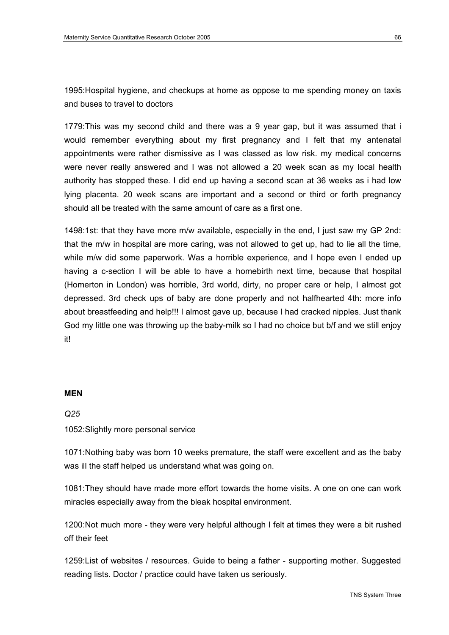1995:Hospital hygiene, and checkups at home as oppose to me spending money on taxis and buses to travel to doctors

1779:This was my second child and there was a 9 year gap, but it was assumed that i would remember everything about my first pregnancy and I felt that my antenatal appointments were rather dismissive as I was classed as low risk. my medical concerns were never really answered and I was not allowed a 20 week scan as my local health authority has stopped these. I did end up having a second scan at 36 weeks as i had low lying placenta. 20 week scans are important and a second or third or forth pregnancy should all be treated with the same amount of care as a first one.

1498:1st: that they have more m/w available, especially in the end, I just saw my GP 2nd: that the m/w in hospital are more caring, was not allowed to get up, had to lie all the time, while m/w did some paperwork. Was a horrible experience, and I hope even I ended up having a c-section I will be able to have a homebirth next time, because that hospital (Homerton in London) was horrible, 3rd world, dirty, no proper care or help, I almost got depressed. 3rd check ups of baby are done properly and not halfhearted 4th: more info about breastfeeding and help!!! I almost gave up, because I had cracked nipples. Just thank God my little one was throwing up the baby-milk so I had no choice but b/f and we still enjoy it!

#### **MEN**

*Q25* 

#### 1052:Slightly more personal service

1071:Nothing baby was born 10 weeks premature, the staff were excellent and as the baby was ill the staff helped us understand what was going on.

1081:They should have made more effort towards the home visits. A one on one can work miracles especially away from the bleak hospital environment.

1200:Not much more - they were very helpful although I felt at times they were a bit rushed off their feet

1259:List of websites / resources. Guide to being a father - supporting mother. Suggested reading lists. Doctor / practice could have taken us seriously.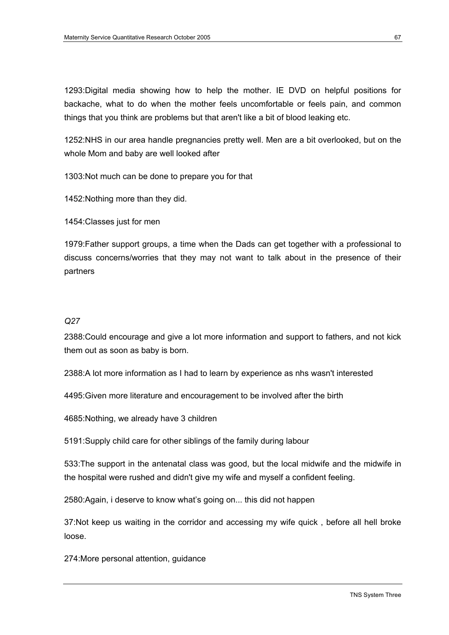1293:Digital media showing how to help the mother. IE DVD on helpful positions for backache, what to do when the mother feels uncomfortable or feels pain, and common things that you think are problems but that aren't like a bit of blood leaking etc.

1252:NHS in our area handle pregnancies pretty well. Men are a bit overlooked, but on the whole Mom and baby are well looked after

1303:Not much can be done to prepare you for that

1452:Nothing more than they did.

1454:Classes just for men

1979:Father support groups, a time when the Dads can get together with a professional to discuss concerns/worries that they may not want to talk about in the presence of their partners

#### *Q27*

2388:Could encourage and give a lot more information and support to fathers, and not kick them out as soon as baby is born.

2388:A lot more information as I had to learn by experience as nhs wasn't interested

4495:Given more literature and encouragement to be involved after the birth

4685:Nothing, we already have 3 children

5191:Supply child care for other siblings of the family during labour

533:The support in the antenatal class was good, but the local midwife and the midwife in the hospital were rushed and didn't give my wife and myself a confident feeling.

2580:Again, i deserve to know what's going on... this did not happen

37:Not keep us waiting in the corridor and accessing my wife quick , before all hell broke loose.

274:More personal attention, guidance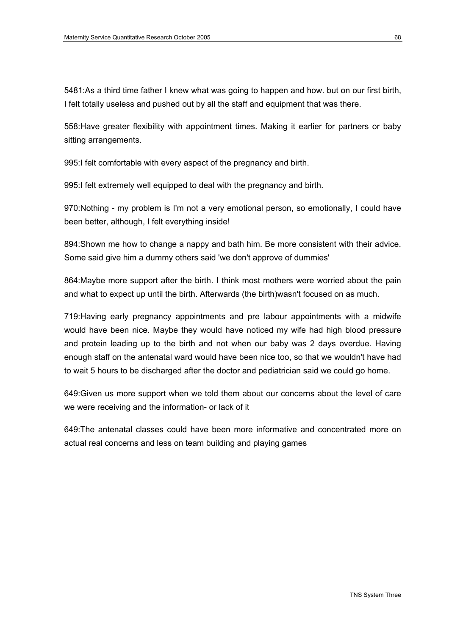5481:As a third time father I knew what was going to happen and how. but on our first birth, I felt totally useless and pushed out by all the staff and equipment that was there.

558:Have greater flexibility with appointment times. Making it earlier for partners or baby sitting arrangements.

995:I felt comfortable with every aspect of the pregnancy and birth.

995:I felt extremely well equipped to deal with the pregnancy and birth.

970:Nothing - my problem is I'm not a very emotional person, so emotionally, I could have been better, although, I felt everything inside!

894:Shown me how to change a nappy and bath him. Be more consistent with their advice. Some said give him a dummy others said 'we don't approve of dummies'

864:Maybe more support after the birth. I think most mothers were worried about the pain and what to expect up until the birth. Afterwards (the birth)wasn't focused on as much.

719:Having early pregnancy appointments and pre labour appointments with a midwife would have been nice. Maybe they would have noticed my wife had high blood pressure and protein leading up to the birth and not when our baby was 2 days overdue. Having enough staff on the antenatal ward would have been nice too, so that we wouldn't have had to wait 5 hours to be discharged after the doctor and pediatrician said we could go home.

649:Given us more support when we told them about our concerns about the level of care we were receiving and the information- or lack of it

649:The antenatal classes could have been more informative and concentrated more on actual real concerns and less on team building and playing games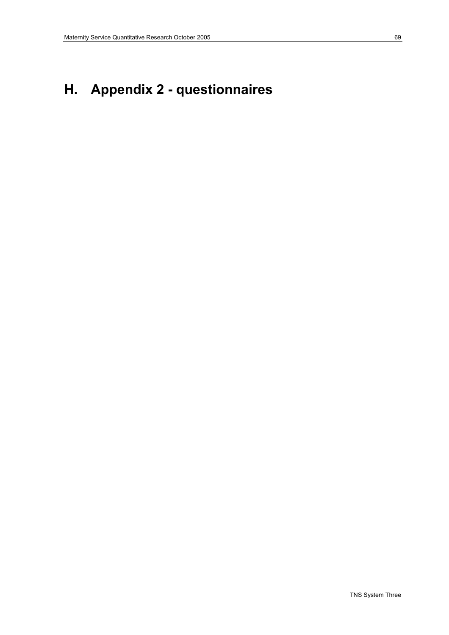# **H. Appendix 2 - questionnaires**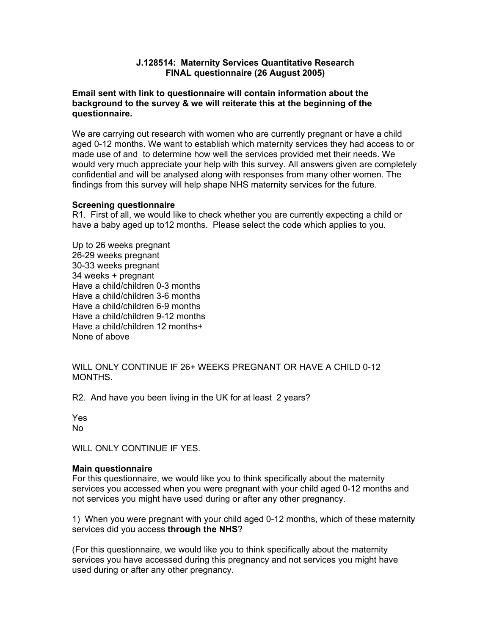# **J.128514: Maternity Services Quantitative Research FINAL questionnaire (26 August 2005)**

# **Email sent with link to questionnaire will contain information about the background to the survey & we will reiterate this at the beginning of the questionnaire.**

We are carrying out research with women who are currently pregnant or have a child aged 0-12 months. We want to establish which maternity services they had access to or made use of and to determine how well the services provided met their needs. We would very much appreciate your help with this survey. All answers given are completely confidential and will be analysed along with responses from many other women. The findings from this survey will help shape NHS maternity services for the future.

## **Screening questionnaire**

R1. First of all, we would like to check whether you are currently expecting a child or have a baby aged up to12 months. Please select the code which applies to you.

Up to 26 weeks pregnant 26-29 weeks pregnant 30-33 weeks pregnant 34 weeks + pregnant Have a child/children 0-3 months Have a child/children 3-6 months Have a child/children 6-9 months Have a child/children 9-12 months Have a child/children 12 months+ None of above

WILL ONLY CONTINUE IF 26+ WEEKS PREGNANT OR HAVE A CHILD 0-12 **MONTHS** 

R2. And have you been living in the UK for at least 2 years?

Yes No

WILL ONLY CONTINUE IF YES.

## **Main questionnaire**

For this questionnaire, we would like you to think specifically about the maternity services you accessed when you were pregnant with your child aged 0-12 months and not services you might have used during or after any other pregnancy.

1) When you were pregnant with your child aged 0-12 months, which of these maternity services did you access **through the NHS**?

(For this questionnaire, we would like you to think specifically about the maternity services you have accessed during this pregnancy and not services you might have used during or after any other pregnancy.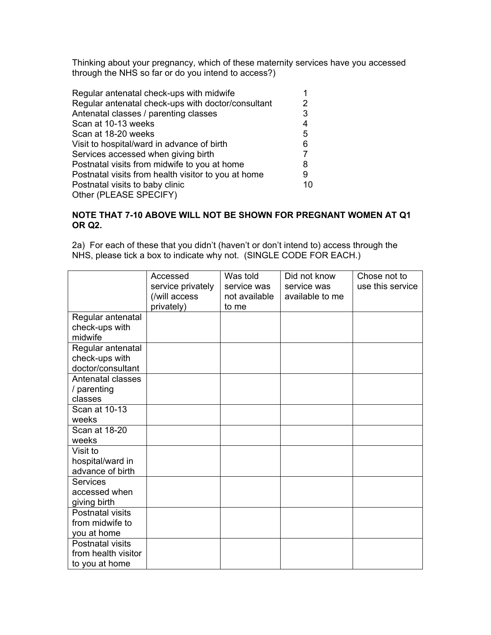Thinking about your pregnancy, which of these maternity services have you accessed through the NHS so far or do you intend to access?)

| Regular antenatal check-ups with midwife            |    |
|-----------------------------------------------------|----|
| Regular antenatal check-ups with doctor/consultant  | 2  |
| Antenatal classes / parenting classes               | 3  |
| Scan at 10-13 weeks                                 | 4  |
| Scan at 18-20 weeks                                 | 5  |
| Visit to hospital/ward in advance of birth          | 6  |
| Services accessed when giving birth                 |    |
| Postnatal visits from midwife to you at home        | 8  |
| Postnatal visits from health visitor to you at home | 9  |
| Postnatal visits to baby clinic                     | 10 |
| Other (PLEASE SPECIFY)                              |    |

# **NOTE THAT 7-10 ABOVE WILL NOT BE SHOWN FOR PREGNANT WOMEN AT Q1 OR Q2.**

2a) For each of these that you didn't (haven't or don't intend to) access through the NHS, please tick a box to indicate why not. (SINGLE CODE FOR EACH.)

|                     | Accessed<br>service privately<br>(/will access | Was told<br>service was<br>not available | Did not know<br>service was<br>available to me | Chose not to<br>use this service |
|---------------------|------------------------------------------------|------------------------------------------|------------------------------------------------|----------------------------------|
|                     | privately)                                     | to me                                    |                                                |                                  |
| Regular antenatal   |                                                |                                          |                                                |                                  |
| check-ups with      |                                                |                                          |                                                |                                  |
| midwife             |                                                |                                          |                                                |                                  |
| Regular antenatal   |                                                |                                          |                                                |                                  |
| check-ups with      |                                                |                                          |                                                |                                  |
| doctor/consultant   |                                                |                                          |                                                |                                  |
| Antenatal classes   |                                                |                                          |                                                |                                  |
| / parenting         |                                                |                                          |                                                |                                  |
| classes             |                                                |                                          |                                                |                                  |
| Scan at 10-13       |                                                |                                          |                                                |                                  |
| weeks               |                                                |                                          |                                                |                                  |
| Scan at 18-20       |                                                |                                          |                                                |                                  |
| weeks               |                                                |                                          |                                                |                                  |
| Visit to            |                                                |                                          |                                                |                                  |
| hospital/ward in    |                                                |                                          |                                                |                                  |
| advance of birth    |                                                |                                          |                                                |                                  |
| <b>Services</b>     |                                                |                                          |                                                |                                  |
| accessed when       |                                                |                                          |                                                |                                  |
| giving birth        |                                                |                                          |                                                |                                  |
| Postnatal visits    |                                                |                                          |                                                |                                  |
| from midwife to     |                                                |                                          |                                                |                                  |
| you at home         |                                                |                                          |                                                |                                  |
| Postnatal visits    |                                                |                                          |                                                |                                  |
| from health visitor |                                                |                                          |                                                |                                  |
| to you at home      |                                                |                                          |                                                |                                  |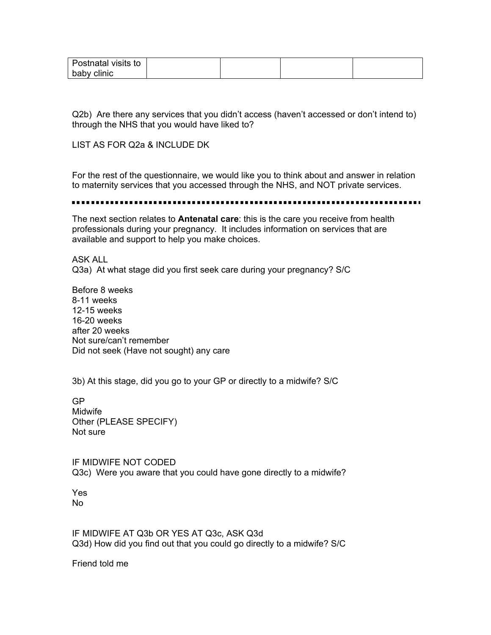| Postnatal visits to |  |  |
|---------------------|--|--|
| baby clinic         |  |  |

Q2b) Are there any services that you didn't access (haven't accessed or don't intend to) through the NHS that you would have liked to?

LIST AS FOR Q2a & INCLUDE DK

For the rest of the questionnaire, we would like you to think about and answer in relation to maternity services that you accessed through the NHS, and NOT private services.

The next section relates to **Antenatal care**: this is the care you receive from health professionals during your pregnancy. It includes information on services that are available and support to help you make choices.

ASK ALL Q3a) At what stage did you first seek care during your pregnancy? S/C

Before 8 weeks 8-11 weeks 12-15 weeks 16-20 weeks after 20 weeks Not sure/can't remember Did not seek (Have not sought) any care

3b) At this stage, did you go to your GP or directly to a midwife? S/C

GP Midwife Other (PLEASE SPECIFY) Not sure

IF MIDWIFE NOT CODED Q3c) Were you aware that you could have gone directly to a midwife?

Yes No

IF MIDWIFE AT Q3b OR YES AT Q3c, ASK Q3d Q3d) How did you find out that you could go directly to a midwife? S/C

Friend told me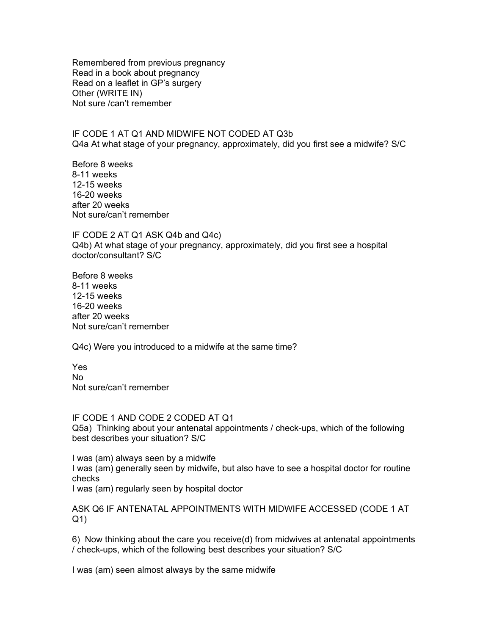Remembered from previous pregnancy Read in a book about pregnancy Read on a leaflet in GP's surgery Other (WRITE IN) Not sure /can't remember

IF CODE 1 AT Q1 AND MIDWIFE NOT CODED AT Q3b Q4a At what stage of your pregnancy, approximately, did you first see a midwife? S/C

Before 8 weeks 8-11 weeks 12-15 weeks 16-20 weeks after 20 weeks Not sure/can't remember

IF CODE 2 AT Q1 ASK Q4b and Q4c) Q4b) At what stage of your pregnancy, approximately, did you first see a hospital doctor/consultant? S/C

Before 8 weeks 8-11 weeks 12-15 weeks 16-20 weeks after 20 weeks Not sure/can't remember

Q4c) Were you introduced to a midwife at the same time?

Yes No Not sure/can't remember

IF CODE 1 AND CODE 2 CODED AT Q1 Q5a) Thinking about your antenatal appointments / check-ups, which of the following best describes your situation? S/C

I was (am) always seen by a midwife I was (am) generally seen by midwife, but also have to see a hospital doctor for routine checks I was (am) regularly seen by hospital doctor

ASK Q6 IF ANTENATAL APPOINTMENTS WITH MIDWIFE ACCESSED (CODE 1 AT Q1)

6) Now thinking about the care you receive(d) from midwives at antenatal appointments / check-ups, which of the following best describes your situation? S/C

I was (am) seen almost always by the same midwife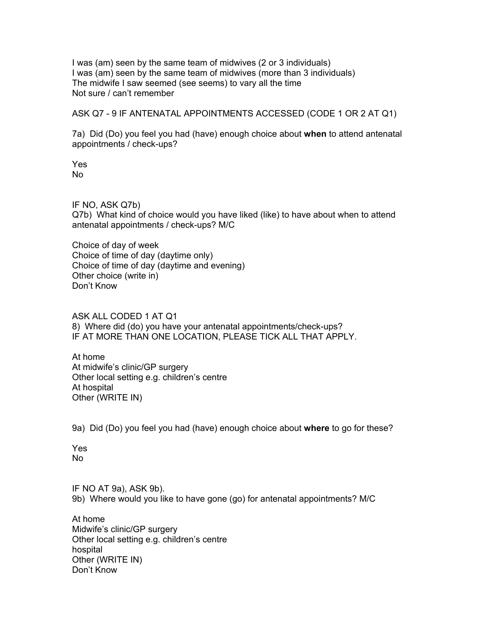I was (am) seen by the same team of midwives (2 or 3 individuals) I was (am) seen by the same team of midwives (more than 3 individuals) The midwife I saw seemed (see seems) to vary all the time Not sure / can't remember

ASK Q7 - 9 IF ANTENATAL APPOINTMENTS ACCESSED (CODE 1 OR 2 AT Q1)

7a) Did (Do) you feel you had (have) enough choice about **when** to attend antenatal appointments / check-ups?

Yes No

IF NO, ASK Q7b) Q7b) What kind of choice would you have liked (like) to have about when to attend antenatal appointments / check-ups? M/C

Choice of day of week Choice of time of day (daytime only) Choice of time of day (daytime and evening) Other choice (write in) Don't Know

ASK ALL CODED 1 AT Q1 8) Where did (do) you have your antenatal appointments/check-ups? IF AT MORE THAN ONE LOCATION, PLEASE TICK ALL THAT APPLY.

At home At midwife's clinic/GP surgery Other local setting e.g. children's centre At hospital Other (WRITE IN)

9a) Did (Do) you feel you had (have) enough choice about **where** to go for these?

Yes No

IF NO AT 9a), ASK 9b). 9b) Where would you like to have gone (go) for antenatal appointments? M/C

At home Midwife's clinic/GP surgery Other local setting e.g. children's centre hospital Other (WRITE IN) Don't Know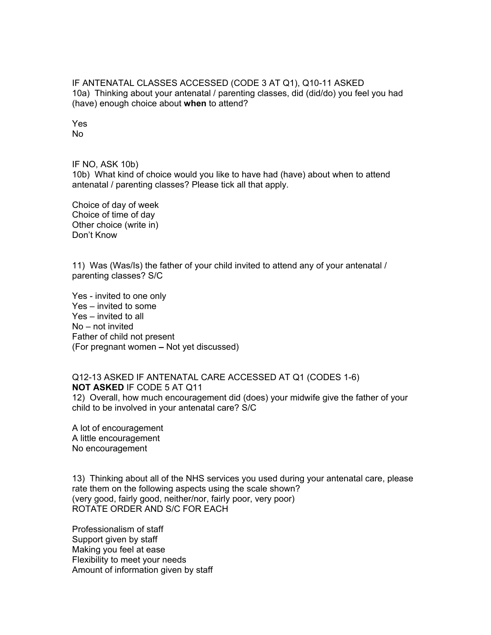IF ANTENATAL CLASSES ACCESSED (CODE 3 AT Q1), Q10-11 ASKED 10a) Thinking about your antenatal / parenting classes, did (did/do) you feel you had (have) enough choice about **when** to attend?

Yes No

IF NO, ASK 10b)

10b) What kind of choice would you like to have had (have) about when to attend antenatal / parenting classes? Please tick all that apply.

Choice of day of week Choice of time of day Other choice (write in) Don't Know

11) Was (Was/Is) the father of your child invited to attend any of your antenatal / parenting classes? S/C

Yes - invited to one only Yes – invited to some Yes – invited to all No – not invited Father of child not present (For pregnant women – Not yet discussed)

Q12-13 ASKED IF ANTENATAL CARE ACCESSED AT Q1 (CODES 1-6) **NOT ASKED** IF CODE 5 AT Q11 12) Overall, how much encouragement did (does) your midwife give the father of your child to be involved in your antenatal care? S/C

A lot of encouragement A little encouragement No encouragement

13) Thinking about all of the NHS services you used during your antenatal care, please rate them on the following aspects using the scale shown? (very good, fairly good, neither/nor, fairly poor, very poor) ROTATE ORDER AND S/C FOR EACH

Professionalism of staff Support given by staff Making you feel at ease Flexibility to meet your needs Amount of information given by staff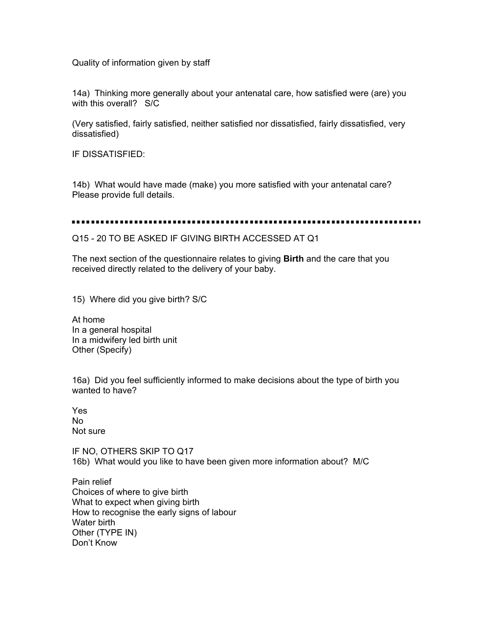Quality of information given by staff

14a) Thinking more generally about your antenatal care, how satisfied were (are) you with this overall? S/C

(Very satisfied, fairly satisfied, neither satisfied nor dissatisfied, fairly dissatisfied, very dissatisfied)

IF DISSATISFIED:

14b) What would have made (make) you more satisfied with your antenatal care? Please provide full details.

Q15 - 20 TO BE ASKED IF GIVING BIRTH ACCESSED AT Q1

The next section of the questionnaire relates to giving **Birth** and the care that you received directly related to the delivery of your baby.

15) Where did you give birth? S/C

At home In a general hospital In a midwifery led birth unit Other (Specify)

16a) Did you feel sufficiently informed to make decisions about the type of birth you wanted to have?

Yes No Not sure

IF NO, OTHERS SKIP TO Q17 16b) What would you like to have been given more information about? M/C

Pain relief Choices of where to give birth What to expect when giving birth How to recognise the early signs of labour Water birth Other (TYPE IN) Don't Know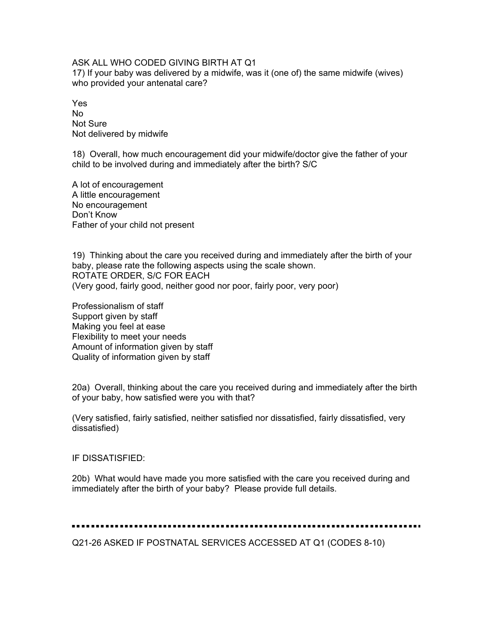ASK ALL WHO CODED GIVING BIRTH AT Q1

17) If your baby was delivered by a midwife, was it (one of) the same midwife (wives) who provided your antenatal care?

Yes No Not Sure Not delivered by midwife

18) Overall, how much encouragement did your midwife/doctor give the father of your child to be involved during and immediately after the birth? S/C

A lot of encouragement A little encouragement No encouragement Don't Know Father of your child not present

19) Thinking about the care you received during and immediately after the birth of your baby, please rate the following aspects using the scale shown. ROTATE ORDER, S/C FOR EACH (Very good, fairly good, neither good nor poor, fairly poor, very poor)

Professionalism of staff Support given by staff Making you feel at ease Flexibility to meet your needs Amount of information given by staff Quality of information given by staff

20a) Overall, thinking about the care you received during and immediately after the birth of your baby, how satisfied were you with that?

(Very satisfied, fairly satisfied, neither satisfied nor dissatisfied, fairly dissatisfied, very dissatisfied)

IF DISSATISFIED:

20b) What would have made you more satisfied with the care you received during and immediately after the birth of your baby? Please provide full details.

## 

Q21-26 ASKED IF POSTNATAL SERVICES ACCESSED AT Q1 (CODES 8-10)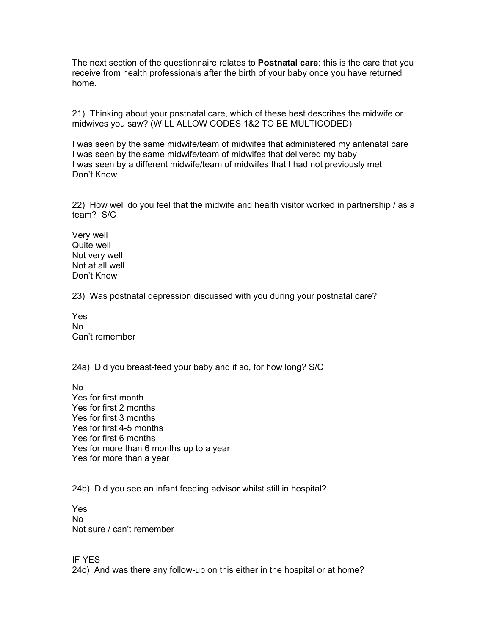The next section of the questionnaire relates to **Postnatal care**: this is the care that you receive from health professionals after the birth of your baby once you have returned home.

21) Thinking about your postnatal care, which of these best describes the midwife or midwives you saw? (WILL ALLOW CODES 1&2 TO BE MULTICODED)

I was seen by the same midwife/team of midwifes that administered my antenatal care I was seen by the same midwife/team of midwifes that delivered my baby I was seen by a different midwife/team of midwifes that I had not previously met Don't Know

22) How well do you feel that the midwife and health visitor worked in partnership / as a team? S/C

Very well Quite well Not very well Not at all well Don't Know

23) Was postnatal depression discussed with you during your postnatal care?

Yes No Can't remember

24a) Did you breast-feed your baby and if so, for how long? S/C

No Yes for first month Yes for first 2 months Yes for first 3 months Yes for first 4-5 months Yes for first 6 months Yes for more than 6 months up to a year Yes for more than a year

24b) Did you see an infant feeding advisor whilst still in hospital?

Yes No Not sure / can't remember

IF YES 24c) And was there any follow-up on this either in the hospital or at home?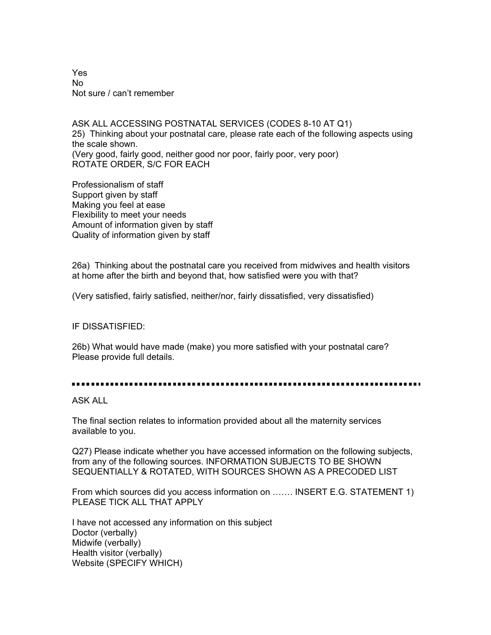Yes No Not sure / can't remember

ASK ALL ACCESSING POSTNATAL SERVICES (CODES 8-10 AT Q1) 25) Thinking about your postnatal care, please rate each of the following aspects using the scale shown. (Very good, fairly good, neither good nor poor, fairly poor, very poor) ROTATE ORDER, S/C FOR EACH

Professionalism of staff Support given by staff Making you feel at ease Flexibility to meet your needs Amount of information given by staff Quality of information given by staff

26a) Thinking about the postnatal care you received from midwives and health visitors at home after the birth and beyond that, how satisfied were you with that?

(Very satisfied, fairly satisfied, neither/nor, fairly dissatisfied, very dissatisfied)

IF DISSATISFIED:

26b) What would have made (make) you more satisfied with your postnatal care? Please provide full details.

ASK ALL

The final section relates to information provided about all the maternity services available to you.

Q27) Please indicate whether you have accessed information on the following subjects, from any of the following sources. INFORMATION SUBJECTS TO BE SHOWN SEQUENTIALLY & ROTATED, WITH SOURCES SHOWN AS A PRECODED LIST

From which sources did you access information on ……. INSERT E.G. STATEMENT 1) PLEASE TICK ALL THAT APPLY

I have not accessed any information on this subject Doctor (verbally) Midwife (verbally) Health visitor (verbally) Website (SPECIFY WHICH)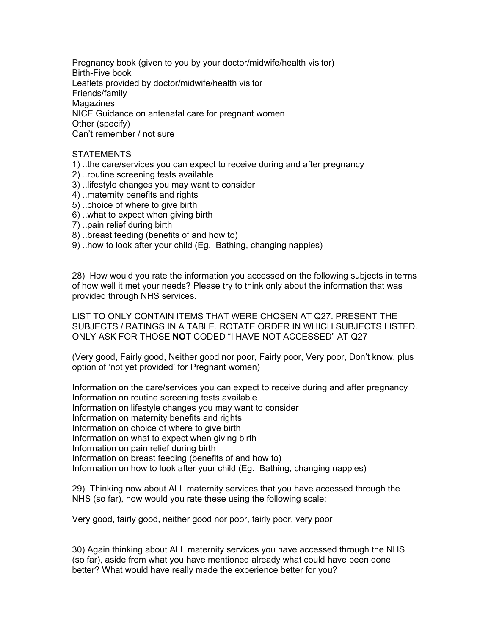Pregnancy book (given to you by your doctor/midwife/health visitor) Birth-Five book Leaflets provided by doctor/midwife/health visitor Friends/family Magazines NICE Guidance on antenatal care for pregnant women Other (specify) Can't remember / not sure

# STATEMENTS

- 1) ..the care/services you can expect to receive during and after pregnancy
- 2) ..routine screening tests available
- 3) ..lifestyle changes you may want to consider
- 4) ..maternity benefits and rights
- 5) ..choice of where to give birth
- 6) ..what to expect when giving birth
- 7) ..pain relief during birth
- 8) ..breast feeding (benefits of and how to)
- 9) ..how to look after your child (Eg. Bathing, changing nappies)

28) How would you rate the information you accessed on the following subjects in terms of how well it met your needs? Please try to think only about the information that was provided through NHS services.

LIST TO ONLY CONTAIN ITEMS THAT WERE CHOSEN AT Q27. PRESENT THE SUBJECTS / RATINGS IN A TABLE. ROTATE ORDER IN WHICH SUBJECTS LISTED. ONLY ASK FOR THOSE **NOT** CODED "I HAVE NOT ACCESSED" AT Q27

(Very good, Fairly good, Neither good nor poor, Fairly poor, Very poor, Don't know, plus option of 'not yet provided' for Pregnant women)

Information on the care/services you can expect to receive during and after pregnancy Information on routine screening tests available Information on lifestyle changes you may want to consider Information on maternity benefits and rights Information on choice of where to give birth Information on what to expect when giving birth Information on pain relief during birth Information on breast feeding (benefits of and how to) Information on how to look after your child (Eg. Bathing, changing nappies)

29) Thinking now about ALL maternity services that you have accessed through the NHS (so far), how would you rate these using the following scale:

Very good, fairly good, neither good nor poor, fairly poor, very poor

30) Again thinking about ALL maternity services you have accessed through the NHS (so far), aside from what you have mentioned already what could have been done better? What would have really made the experience better for you?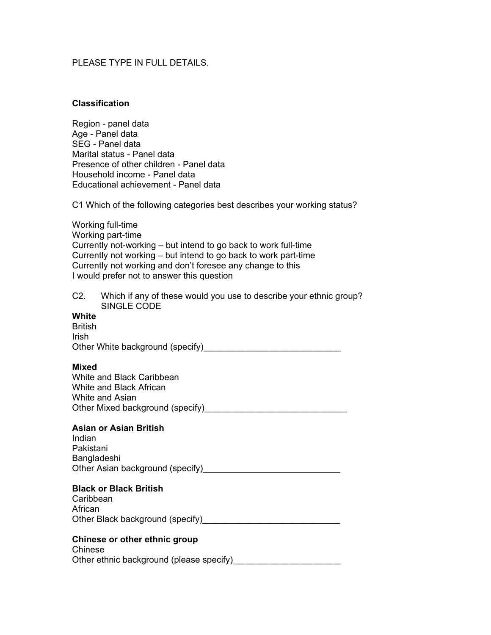# PLEASE TYPE IN FULL DETAILS.

## **Classification**

Region - panel data Age - Panel data SEG - Panel data Marital status - Panel data Presence of other children - Panel data Household income - Panel data Educational achievement - Panel data

C1 Which of the following categories best describes your working status?

Working full-time Working part-time Currently not-working – but intend to go back to work full-time Currently not working – but intend to go back to work part-time Currently not working and don't foresee any change to this I would prefer not to answer this question

C2. Which if any of these would you use to describe your ethnic group? SINGLE CODE

# **White**

**British** Irish Other White background (specify)

## **Mixed**

White and Black Caribbean White and Black African White and Asian Other Mixed background (specify)\_\_\_\_\_\_\_\_\_\_\_\_\_\_\_\_\_\_\_\_\_\_\_\_\_\_\_\_\_

## **Asian or Asian British**

Indian Pakistani Bangladeshi Other Asian background (specify)\_\_\_\_\_\_\_\_\_\_\_\_\_\_\_\_\_\_\_\_\_\_\_\_\_\_\_\_

# **Black or Black British**

**Caribbean** African Other Black background (specify)\_\_\_\_\_\_\_\_\_\_\_\_\_\_\_\_\_\_\_\_\_\_\_\_\_\_\_\_

# **Chinese or other ethnic group**

Chinese Other ethnic background (please specify)\_\_\_\_\_\_\_\_\_\_\_\_\_\_\_\_\_\_\_\_\_\_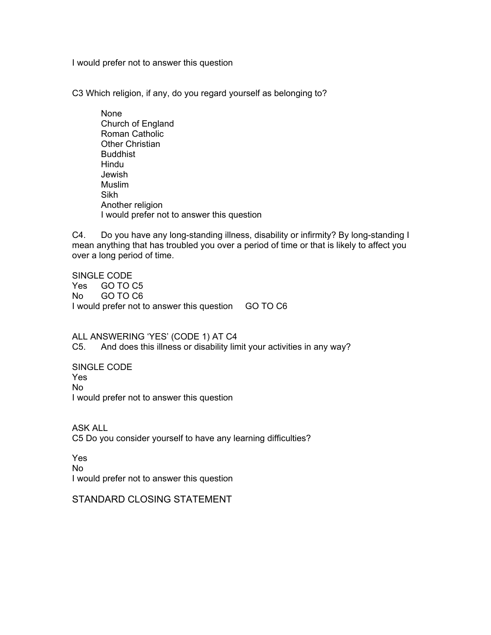I would prefer not to answer this question

C3 Which religion, if any, do you regard yourself as belonging to?

 None Church of England Roman Catholic Other Christian Buddhist Hindu Jewish Muslim Sikh Another religion I would prefer not to answer this question

C4. Do you have any long-standing illness, disability or infirmity? By long-standing I mean anything that has troubled you over a period of time or that is likely to affect you over a long period of time.

SINGLE CODE Yes GO TO C5 No GO TO C6 I would prefer not to answer this question GO TO C6

ALL ANSWERING 'YES' (CODE 1) AT C4 C5. And does this illness or disability limit your activities in any way?

SINGLE CODE Yes No I would prefer not to answer this question

ASK ALL C5 Do you consider yourself to have any learning difficulties?

Yes No I would prefer not to answer this question

STANDARD CLOSING STATEMENT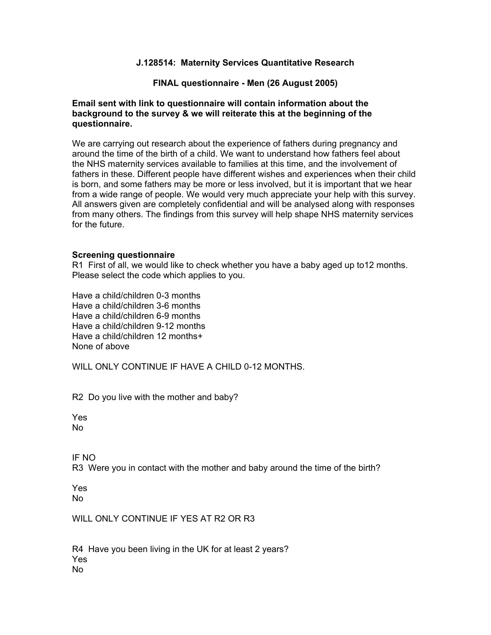# **J.128514: Maternity Services Quantitative Research**

# **FINAL questionnaire - Men (26 August 2005)**

# **Email sent with link to questionnaire will contain information about the background to the survey & we will reiterate this at the beginning of the questionnaire.**

We are carrying out research about the experience of fathers during pregnancy and around the time of the birth of a child. We want to understand how fathers feel about the NHS maternity services available to families at this time, and the involvement of fathers in these. Different people have different wishes and experiences when their child is born, and some fathers may be more or less involved, but it is important that we hear from a wide range of people. We would very much appreciate your help with this survey. All answers given are completely confidential and will be analysed along with responses from many others. The findings from this survey will help shape NHS maternity services for the future.

## **Screening questionnaire**

R1 First of all, we would like to check whether you have a baby aged up to12 months. Please select the code which applies to you.

Have a child/children 0-3 months Have a child/children 3-6 months Have a child/children 6-9 months Have a child/children 9-12 months Have a child/children 12 months+ None of above

WILL ONLY CONTINUE IF HAVE A CHILD 0-12 MONTHS.

R2 Do you live with the mother and baby?

Yes No

IF NO

R3 Were you in contact with the mother and baby around the time of the birth?

Yes No

WILL ONLY CONTINUE IF YES AT R2 OR R3

R4 Have you been living in the UK for at least 2 years? Yes No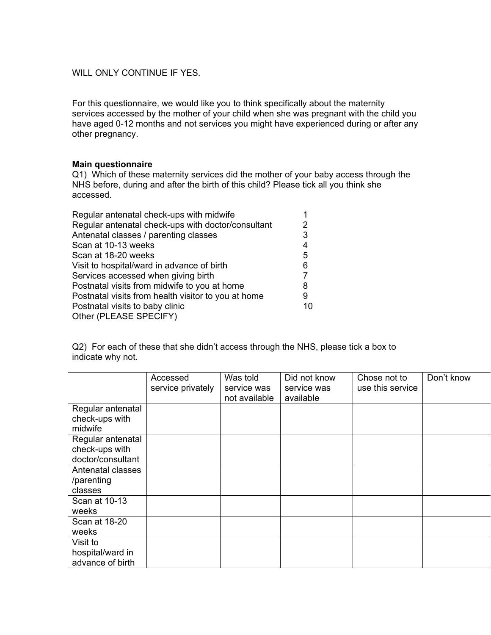# WILL ONLY CONTINUE IF YES.

For this questionnaire, we would like you to think specifically about the maternity services accessed by the mother of your child when she was pregnant with the child you have aged 0-12 months and not services you might have experienced during or after any other pregnancy.

## **Main questionnaire**

Q1) Which of these maternity services did the mother of your baby access through the NHS before, during and after the birth of this child? Please tick all you think she accessed.

| Regular antenatal check-ups with midwife                  |    |
|-----------------------------------------------------------|----|
| Regular antenatal check-ups with doctor/consultant        |    |
| Antenatal classes / parenting classes                     | 3  |
| Scan at 10-13 weeks                                       | 4  |
| Scan at 18-20 weeks                                       | 5  |
| Visit to hospital/ward in advance of birth                | 6  |
| Services accessed when giving birth                       |    |
| Postnatal visits from midwife to you at home              | 8  |
| Postnatal visits from health visitor to you at home       | 9  |
| Postnatal visits to baby clinic<br>Other (PLEASE SPECIFY) | 10 |

Q2) For each of these that she didn't access through the NHS, please tick a box to indicate why not.

|                                                  | Accessed          | Was told                     | Did not know             | Chose not to     | Don't know |
|--------------------------------------------------|-------------------|------------------------------|--------------------------|------------------|------------|
|                                                  | service privately | service was<br>not available | service was<br>available | use this service |            |
| Regular antenatal<br>check-ups with              |                   |                              |                          |                  |            |
| midwife<br>Regular antenatal<br>check-ups with   |                   |                              |                          |                  |            |
| doctor/consultant<br>Antenatal classes           |                   |                              |                          |                  |            |
| /parenting<br>classes                            |                   |                              |                          |                  |            |
| Scan at 10-13<br>weeks                           |                   |                              |                          |                  |            |
| Scan at 18-20<br>weeks                           |                   |                              |                          |                  |            |
| Visit to<br>hospital/ward in<br>advance of birth |                   |                              |                          |                  |            |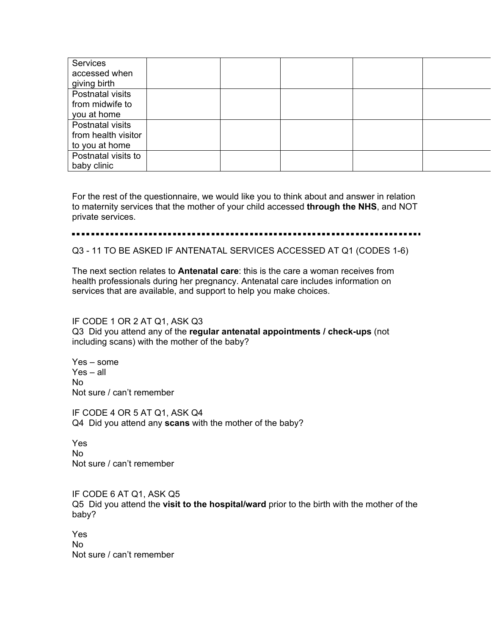| Services<br>accessed when<br>giving birth |  |  |  |
|-------------------------------------------|--|--|--|
| Postnatal visits                          |  |  |  |
| from midwife to                           |  |  |  |
| you at home                               |  |  |  |
| Postnatal visits                          |  |  |  |
| from health visitor                       |  |  |  |
| to you at home                            |  |  |  |
| Postnatal visits to                       |  |  |  |
| baby clinic                               |  |  |  |

For the rest of the questionnaire, we would like you to think about and answer in relation to maternity services that the mother of your child accessed **through the NHS**, and NOT private services.

#### . . . . .

Q3 - 11 TO BE ASKED IF ANTENATAL SERVICES ACCESSED AT Q1 (CODES 1-6)

The next section relates to **Antenatal care**: this is the care a woman receives from health professionals during her pregnancy. Antenatal care includes information on services that are available, and support to help you make choices.

# IF CODE 1 OR 2 AT Q1, ASK Q3

Q3 Did you attend any of the **regular antenatal appointments / check-ups** (not including scans) with the mother of the baby?

Yes – some Yes – all No Not sure / can't remember

IF CODE 4 OR 5 AT Q1, ASK Q4 Q4 Did you attend any **scans** with the mother of the baby?

Yes No Not sure / can't remember

IF CODE 6 AT Q1, ASK Q5 Q5 Did you attend the **visit to the hospital/ward** prior to the birth with the mother of the baby?

Yes No Not sure / can't remember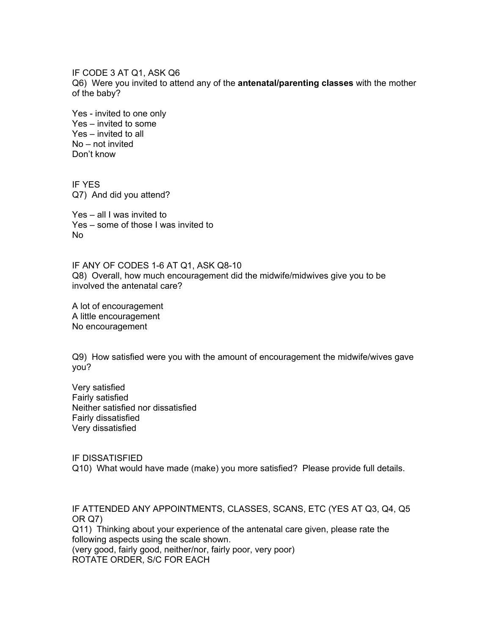IF CODE 3 AT Q1, ASK Q6 Q6) Were you invited to attend any of the **antenatal/parenting classes** with the mother of the baby?

Yes - invited to one only Yes – invited to some Yes – invited to all No – not invited Don't know

IF YES Q7) And did you attend?

Yes – all I was invited to Yes – some of those I was invited to No

IF ANY OF CODES 1-6 AT Q1, ASK Q8-10 Q8) Overall, how much encouragement did the midwife/midwives give you to be involved the antenatal care?

A lot of encouragement A little encouragement No encouragement

Q9) How satisfied were you with the amount of encouragement the midwife/wives gave you?

Very satisfied Fairly satisfied Neither satisfied nor dissatisfied Fairly dissatisfied Very dissatisfied

IF DISSATISFIED Q10) What would have made (make) you more satisfied? Please provide full details.

IF ATTENDED ANY APPOINTMENTS, CLASSES, SCANS, ETC (YES AT Q3, Q4, Q5 OR Q7) Q11) Thinking about your experience of the antenatal care given, please rate the following aspects using the scale shown. (very good, fairly good, neither/nor, fairly poor, very poor) ROTATE ORDER, S/C FOR EACH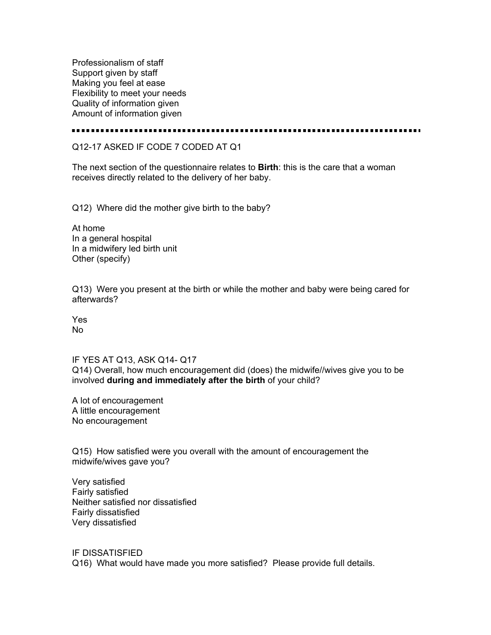Professionalism of staff Support given by staff Making you feel at ease Flexibility to meet your needs Quality of information given Amount of information given

.....................

# Q12-17 ASKED IF CODE 7 CODED AT Q1

The next section of the questionnaire relates to **Birth**: this is the care that a woman receives directly related to the delivery of her baby.

Q12) Where did the mother give birth to the baby?

At home In a general hospital In a midwifery led birth unit Other (specify)

Q13) Were you present at the birth or while the mother and baby were being cared for afterwards?

Yes No

IF YES AT Q13, ASK Q14- Q17 Q14) Overall, how much encouragement did (does) the midwife//wives give you to be involved **during and immediately after the birth** of your child?

A lot of encouragement A little encouragement No encouragement

Q15) How satisfied were you overall with the amount of encouragement the midwife/wives gave you?

Very satisfied Fairly satisfied Neither satisfied nor dissatisfied Fairly dissatisfied Very dissatisfied

IF DISSATISFIED Q16) What would have made you more satisfied? Please provide full details.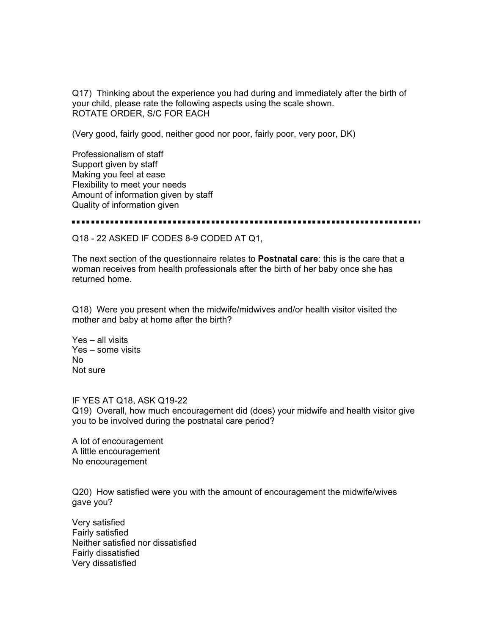Q17) Thinking about the experience you had during and immediately after the birth of your child, please rate the following aspects using the scale shown. ROTATE ORDER, S/C FOR EACH

(Very good, fairly good, neither good nor poor, fairly poor, very poor, DK)

Professionalism of staff Support given by staff Making you feel at ease Flexibility to meet your needs Amount of information given by staff Quality of information given

Q18 - 22 ASKED IF CODES 8-9 CODED AT Q1,

The next section of the questionnaire relates to **Postnatal care**: this is the care that a woman receives from health professionals after the birth of her baby once she has returned home.

Q18) Were you present when the midwife/midwives and/or health visitor visited the mother and baby at home after the birth?

Yes – all visits Yes – some visits No Not sure

IF YES AT Q18, ASK Q19-22

Q19) Overall, how much encouragement did (does) your midwife and health visitor give you to be involved during the postnatal care period?

A lot of encouragement A little encouragement No encouragement

Q20) How satisfied were you with the amount of encouragement the midwife/wives gave you?

Very satisfied Fairly satisfied Neither satisfied nor dissatisfied Fairly dissatisfied Very dissatisfied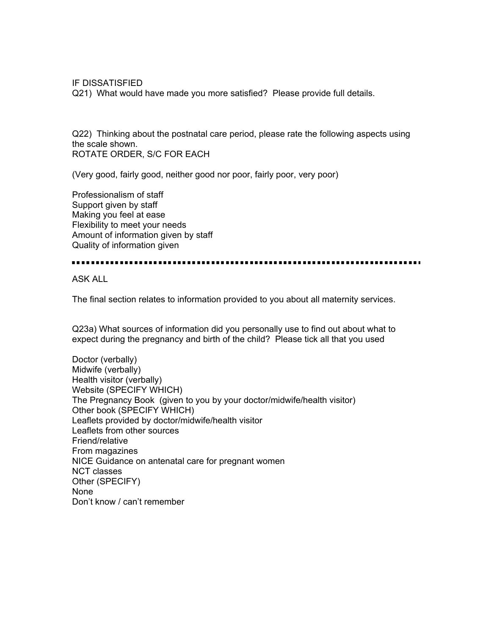IF DISSATISFIED

Q21) What would have made you more satisfied? Please provide full details.

Q22) Thinking about the postnatal care period, please rate the following aspects using the scale shown. ROTATE ORDER, S/C FOR EACH

(Very good, fairly good, neither good nor poor, fairly poor, very poor)

Professionalism of staff Support given by staff Making you feel at ease Flexibility to meet your needs Amount of information given by staff Quality of information given

ASK ALL

The final section relates to information provided to you about all maternity services.

Q23a) What sources of information did you personally use to find out about what to expect during the pregnancy and birth of the child? Please tick all that you used

Doctor (verbally) Midwife (verbally) Health visitor (verbally) Website (SPECIFY WHICH) The Pregnancy Book (given to you by your doctor/midwife/health visitor) Other book (SPECIFY WHICH) Leaflets provided by doctor/midwife/health visitor Leaflets from other sources Friend/relative From magazines NICE Guidance on antenatal care for pregnant women NCT classes Other (SPECIFY) None Don't know / can't remember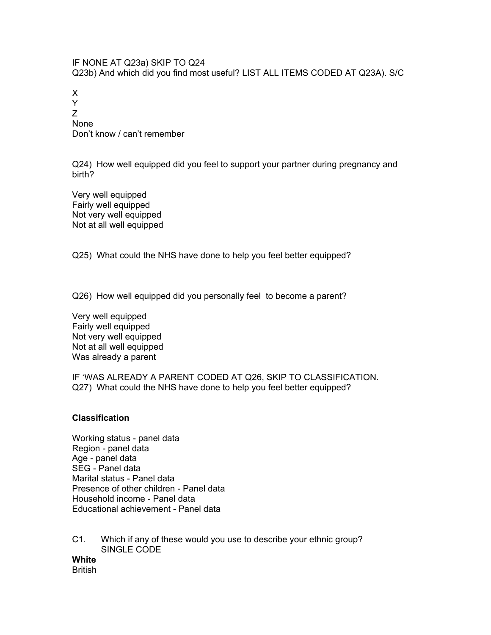IF NONE AT Q23a) SKIP TO Q24 Q23b) And which did you find most useful? LIST ALL ITEMS CODED AT Q23A). S/C

X Y Z None Don't know / can't remember

Q24) How well equipped did you feel to support your partner during pregnancy and birth?

Very well equipped Fairly well equipped Not very well equipped Not at all well equipped

Q25) What could the NHS have done to help you feel better equipped?

Q26) How well equipped did you personally feel to become a parent?

Very well equipped Fairly well equipped Not very well equipped Not at all well equipped Was already a parent

IF 'WAS ALREADY A PARENT CODED AT Q26, SKIP TO CLASSIFICATION. Q27) What could the NHS have done to help you feel better equipped?

#### **Classification**

Working status - panel data Region - panel data Age - panel data SEG - Panel data Marital status - Panel data Presence of other children - Panel data Household income - Panel data Educational achievement - Panel data

C1. Which if any of these would you use to describe your ethnic group? SINGLE CODE

**White British**